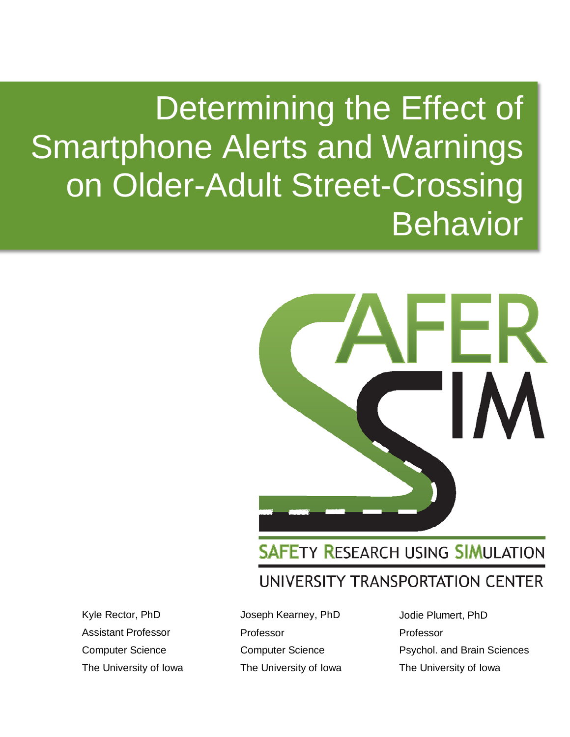# Determining the Effect of Smartphone Alerts and Warnings on Older-Adult Street-Crossing **Behavior**



**SAFETY RESEARCH USING SIMULATION** UNIVERSITY TRANSPORTATION CENTER

Kyle Rector, PhD Assistant Professor Computer Science The University of Iowa Joseph Kearney, PhD Professor Computer Science The University of Iowa Jodie Plumert, PhD Professor Psychol. and Brain Sciences The University of Iowa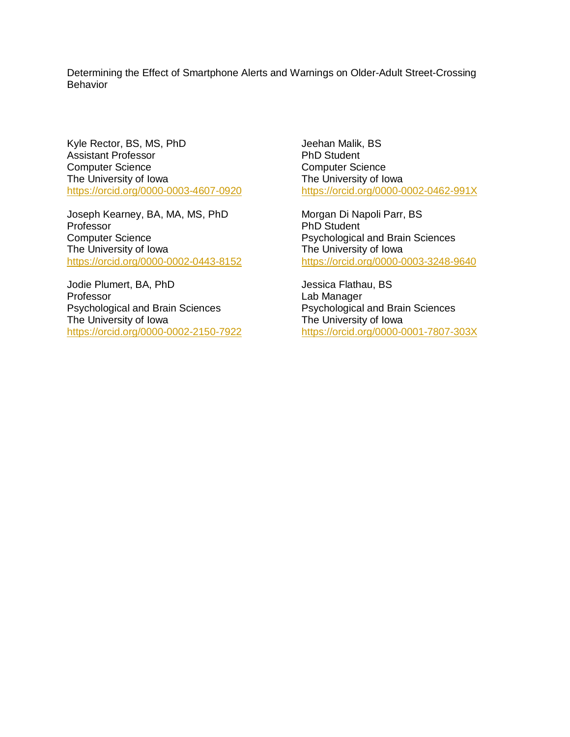Determining the Effect of Smartphone Alerts and Warnings on Older-Adult Street-Crossing Behavior

Kyle Rector, BS, MS, PhD Assistant Professor Computer Science The University of Iowa <https://orcid.org/0000-0003-4607-0920>

Joseph Kearney, BA, MA, MS, PhD Professor Computer Science The University of Iowa <https://orcid.org/0000-0002-0443-8152>

Jodie Plumert, BA, PhD Professor Psychological and Brain Sciences The University of Iowa <https://orcid.org/0000-0002-2150-7922> Jeehan Malik, BS PhD Student Computer Science The University of Iowa <https://orcid.org/0000-0002-0462-991X>

Morgan Di Napoli Parr, BS PhD Student Psychological and Brain Sciences The University of Iowa <https://orcid.org/0000-0003-3248-9640>

Jessica Flathau, BS Lab Manager Psychological and Brain Sciences The University of Iowa <https://orcid.org/0000-0001-7807-303X>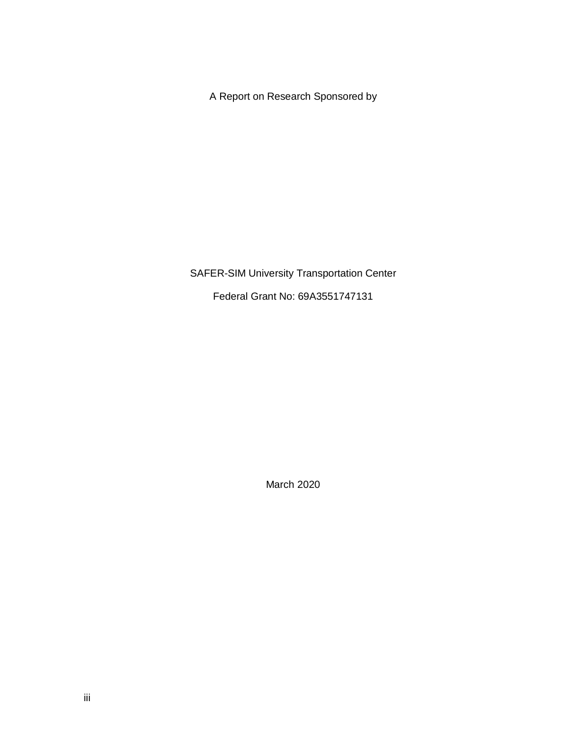A Report on Research Sponsored by

SAFER-SIM University Transportation Center

Federal Grant No: 69A3551747131

March 2020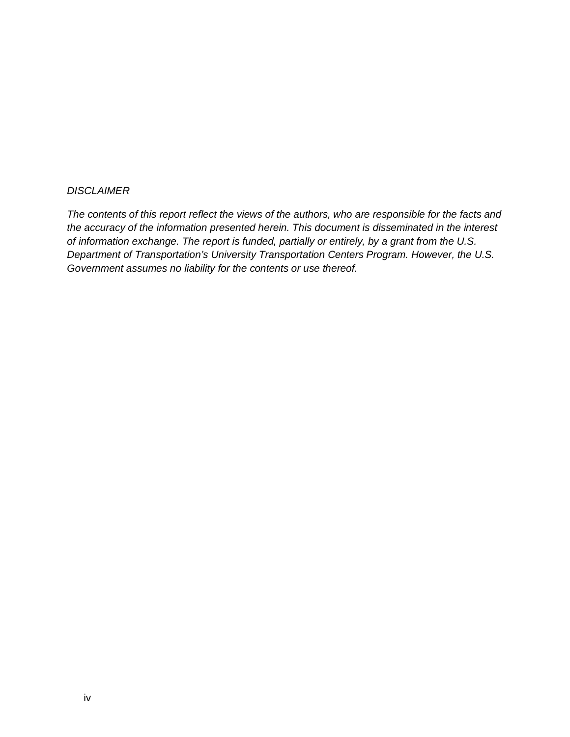#### *DISCLAIMER*

*The contents of this report reflect the views of the authors, who are responsible for the facts and the accuracy of the information presented herein. This document is disseminated in the interest of information exchange. The report is funded, partially or entirely, by a grant from the U.S. Department of Transportation's University Transportation Centers Program. However, the U.S. Government assumes no liability for the contents or use thereof.*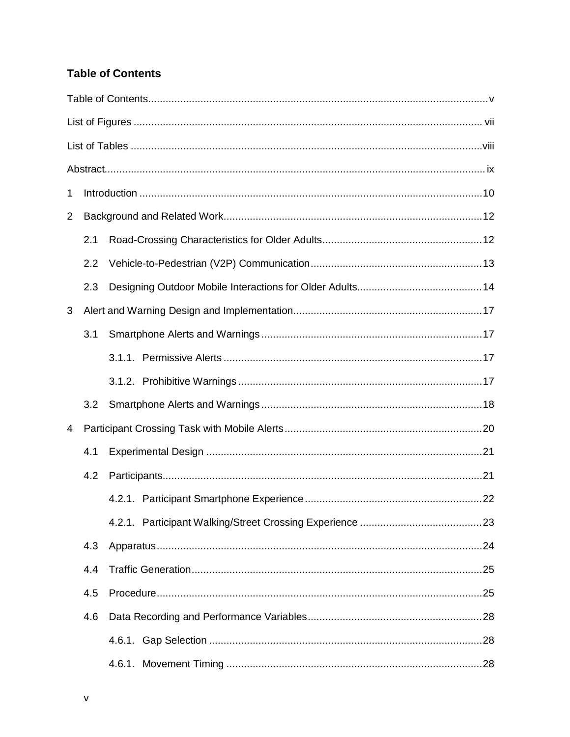### <span id="page-4-0"></span>**Table of Contents**

| 1 |     |  |  |  |  |  |
|---|-----|--|--|--|--|--|
| 2 |     |  |  |  |  |  |
|   | 2.1 |  |  |  |  |  |
|   | 2.2 |  |  |  |  |  |
|   | 2.3 |  |  |  |  |  |
| 3 |     |  |  |  |  |  |
|   | 3.1 |  |  |  |  |  |
|   |     |  |  |  |  |  |
|   |     |  |  |  |  |  |
|   | 3.2 |  |  |  |  |  |
| 4 |     |  |  |  |  |  |
|   | 4.1 |  |  |  |  |  |
|   | 4.2 |  |  |  |  |  |
|   |     |  |  |  |  |  |
|   |     |  |  |  |  |  |
|   | 4.3 |  |  |  |  |  |
|   | 4.4 |  |  |  |  |  |
|   | 4.5 |  |  |  |  |  |
|   | 4.6 |  |  |  |  |  |
|   |     |  |  |  |  |  |
|   |     |  |  |  |  |  |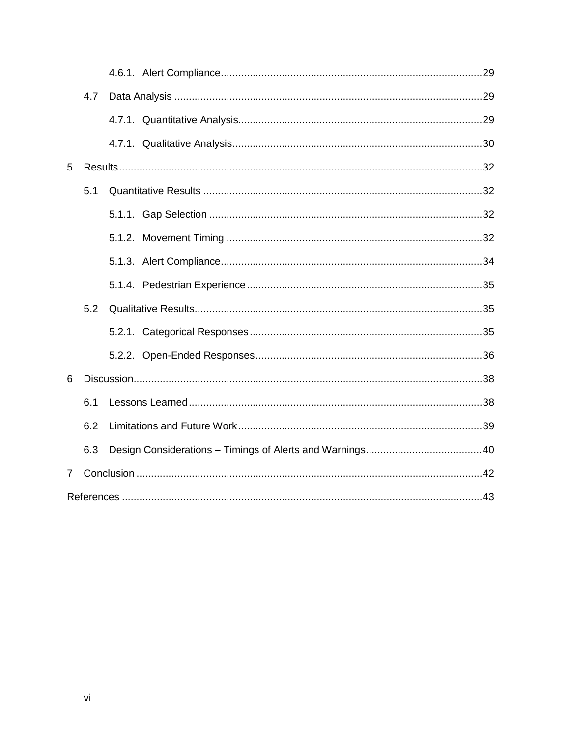|                | 4.7 |  |  |  |  |
|----------------|-----|--|--|--|--|
|                |     |  |  |  |  |
|                |     |  |  |  |  |
| 5              |     |  |  |  |  |
|                | 5.1 |  |  |  |  |
|                |     |  |  |  |  |
|                |     |  |  |  |  |
|                |     |  |  |  |  |
|                |     |  |  |  |  |
|                | 5.2 |  |  |  |  |
|                |     |  |  |  |  |
|                |     |  |  |  |  |
| 6              |     |  |  |  |  |
|                | 6.1 |  |  |  |  |
|                | 6.2 |  |  |  |  |
|                | 6.3 |  |  |  |  |
| 7 <sup>1</sup> |     |  |  |  |  |
|                |     |  |  |  |  |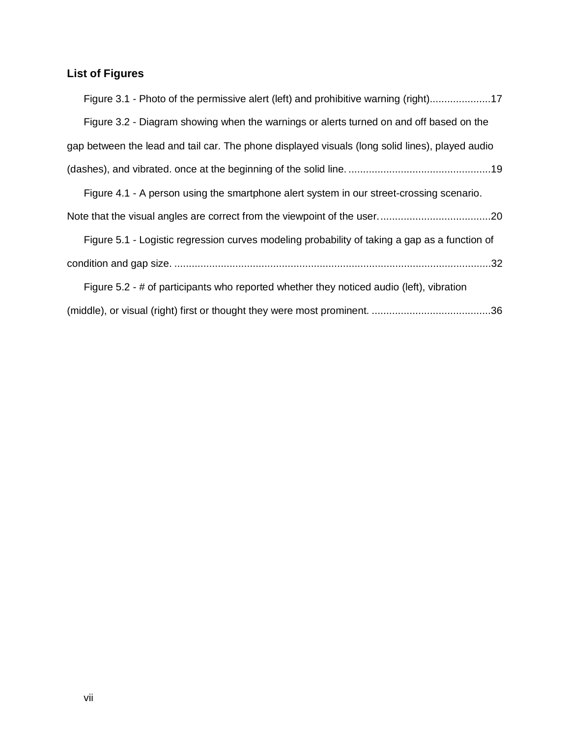# <span id="page-6-0"></span>**List of Figures**

| Figure 3.1 - Photo of the permissive alert (left) and prohibitive warning (right)17             |
|-------------------------------------------------------------------------------------------------|
| Figure 3.2 - Diagram showing when the warnings or alerts turned on and off based on the         |
| gap between the lead and tail car. The phone displayed visuals (long solid lines), played audio |
|                                                                                                 |
| Figure 4.1 - A person using the smartphone alert system in our street-crossing scenario.        |
|                                                                                                 |
| Figure 5.1 - Logistic regression curves modeling probability of taking a gap as a function of   |
|                                                                                                 |
| Figure 5.2 - # of participants who reported whether they noticed audio (left), vibration        |
|                                                                                                 |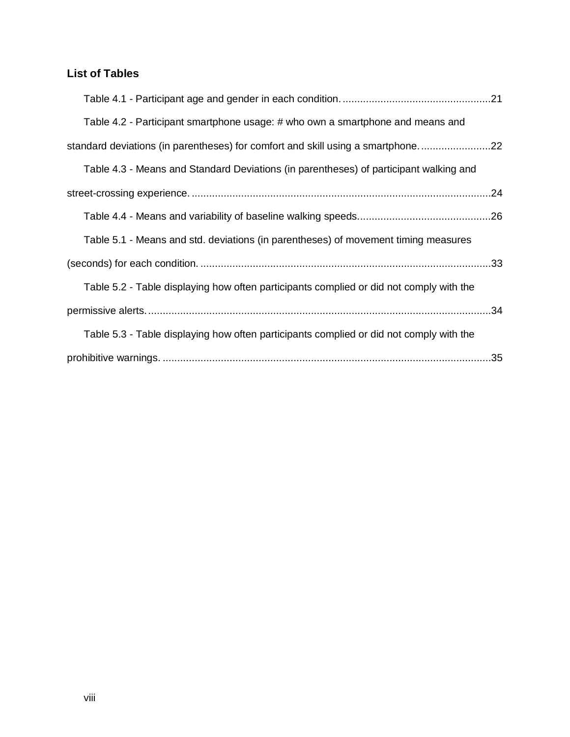## <span id="page-7-0"></span>**List of Tables**

| Table 4.2 - Participant smartphone usage: # who own a smartphone and means and          |  |
|-----------------------------------------------------------------------------------------|--|
| standard deviations (in parentheses) for comfort and skill using a smartphone22         |  |
| Table 4.3 - Means and Standard Deviations (in parentheses) of participant walking and   |  |
|                                                                                         |  |
|                                                                                         |  |
| Table 5.1 - Means and std. deviations (in parentheses) of movement timing measures      |  |
|                                                                                         |  |
| Table 5.2 - Table displaying how often participants complied or did not comply with the |  |
|                                                                                         |  |
| Table 5.3 - Table displaying how often participants complied or did not comply with the |  |
|                                                                                         |  |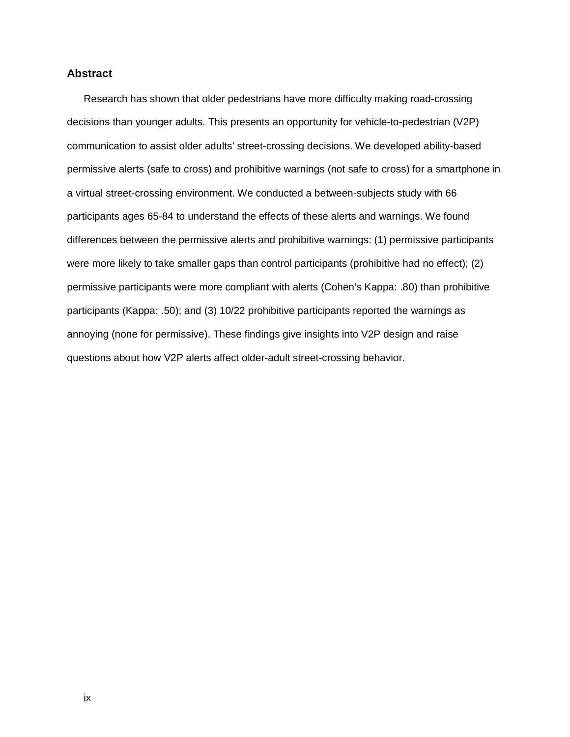#### <span id="page-8-0"></span>**Abstract**

Research has shown that older pedestrians have more difficulty making road-crossing decisions than younger adults. This presents an opportunity for vehicle-to-pedestrian (V2P) communication to assist older adults' street-crossing decisions. We developed ability-based permissive alerts (safe to cross) and prohibitive warnings (not safe to cross) for a smartphone in a virtual street-crossing environment. We conducted a between-subjects study with 66 participants ages 65-84 to understand the effects of these alerts and warnings. We found differences between the permissive alerts and prohibitive warnings: (1) permissive participants were more likely to take smaller gaps than control participants (prohibitive had no effect); (2) permissive participants were more compliant with alerts (Cohen's Kappa: .80) than prohibitive participants (Kappa: .50); and (3) 10/22 prohibitive participants reported the warnings as annoying (none for permissive). These findings give insights into V2P design and raise questions about how V2P alerts affect older-adult street-crossing behavior.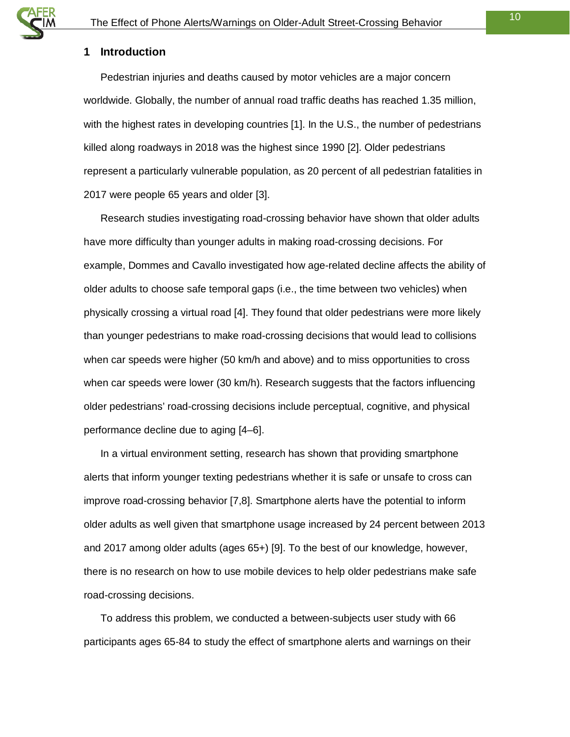#### <span id="page-9-0"></span>**1 Introduction**

Pedestrian injuries and deaths caused by motor vehicles are a major concern worldwide. Globally, the number of annual road traffic deaths has reached 1.35 million, with the highest rates in developing countries [1]. In the U.S., the number of pedestrians killed along roadways in 2018 was the highest since 1990 [2]. Older pedestrians represent a particularly vulnerable population, as 20 percent of all pedestrian fatalities in 2017 were people 65 years and older [3].

Research studies investigating road-crossing behavior have shown that older adults have more difficulty than younger adults in making road-crossing decisions. For example, Dommes and Cavallo investigated how age-related decline affects the ability of older adults to choose safe temporal gaps (i.e., the time between two vehicles) when physically crossing a virtual road [4]. They found that older pedestrians were more likely than younger pedestrians to make road-crossing decisions that would lead to collisions when car speeds were higher (50 km/h and above) and to miss opportunities to cross when car speeds were lower (30 km/h). Research suggests that the factors influencing older pedestrians' road-crossing decisions include perceptual, cognitive, and physical performance decline due to aging [4–6].

In a virtual environment setting, research has shown that providing smartphone alerts that inform younger texting pedestrians whether it is safe or unsafe to cross can improve road-crossing behavior [7,8]. Smartphone alerts have the potential to inform older adults as well given that smartphone usage increased by 24 percent between 2013 and 2017 among older adults (ages 65+) [9]. To the best of our knowledge, however, there is no research on how to use mobile devices to help older pedestrians make safe road-crossing decisions.

To address this problem, we conducted a between-subjects user study with 66 participants ages 65-84 to study the effect of smartphone alerts and warnings on their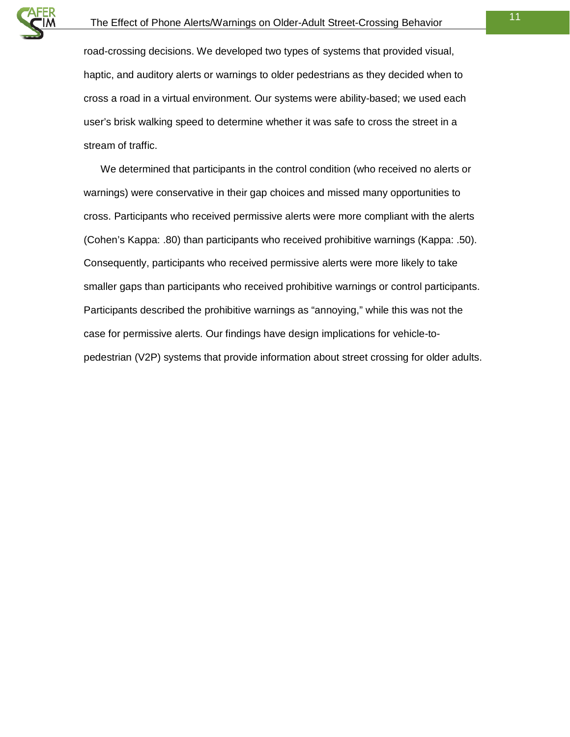

road-crossing decisions. We developed two types of systems that provided visual, haptic, and auditory alerts or warnings to older pedestrians as they decided when to cross a road in a virtual environment. Our systems were ability-based; we used each user's brisk walking speed to determine whether it was safe to cross the street in a stream of traffic.

We determined that participants in the control condition (who received no alerts or warnings) were conservative in their gap choices and missed many opportunities to cross. Participants who received permissive alerts were more compliant with the alerts (Cohen's Kappa: .80) than participants who received prohibitive warnings (Kappa: .50). Consequently, participants who received permissive alerts were more likely to take smaller gaps than participants who received prohibitive warnings or control participants. Participants described the prohibitive warnings as "annoying," while this was not the case for permissive alerts. Our findings have design implications for vehicle-topedestrian (V2P) systems that provide information about street crossing for older adults.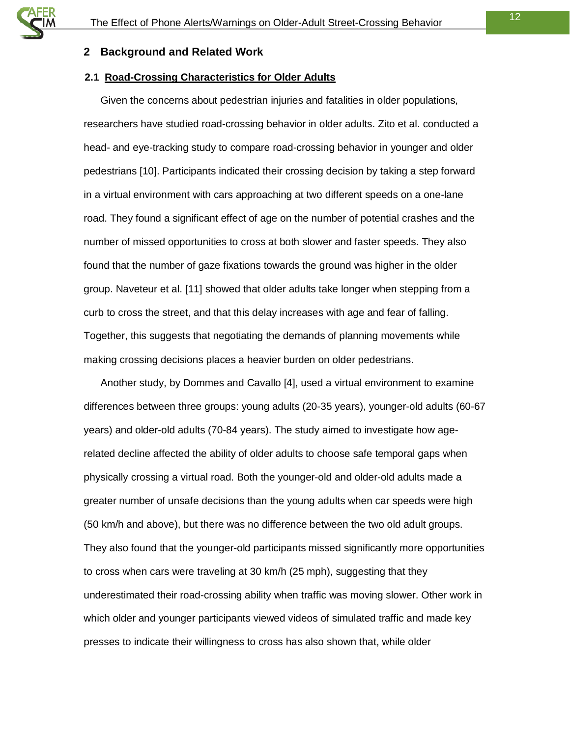#### <span id="page-11-0"></span>**2 Background and Related Work**

#### <span id="page-11-1"></span>**2.1 Road-Crossing Characteristics for Older Adults**

Given the concerns about pedestrian injuries and fatalities in older populations, researchers have studied road-crossing behavior in older adults. Zito et al. conducted a head- and eye-tracking study to compare road-crossing behavior in younger and older pedestrians [10]. Participants indicated their crossing decision by taking a step forward in a virtual environment with cars approaching at two different speeds on a one-lane road. They found a significant effect of age on the number of potential crashes and the number of missed opportunities to cross at both slower and faster speeds. They also found that the number of gaze fixations towards the ground was higher in the older group. Naveteur et al. [11] showed that older adults take longer when stepping from a curb to cross the street, and that this delay increases with age and fear of falling. Together, this suggests that negotiating the demands of planning movements while making crossing decisions places a heavier burden on older pedestrians.

Another study, by Dommes and Cavallo [4], used a virtual environment to examine differences between three groups: young adults (20-35 years), younger-old adults (60-67 years) and older-old adults (70-84 years). The study aimed to investigate how agerelated decline affected the ability of older adults to choose safe temporal gaps when physically crossing a virtual road. Both the younger-old and older-old adults made a greater number of unsafe decisions than the young adults when car speeds were high (50 km/h and above), but there was no difference between the two old adult groups. They also found that the younger-old participants missed significantly more opportunities to cross when cars were traveling at 30 km/h (25 mph), suggesting that they underestimated their road-crossing ability when traffic was moving slower. Other work in which older and younger participants viewed videos of simulated traffic and made key presses to indicate their willingness to cross has also shown that, while older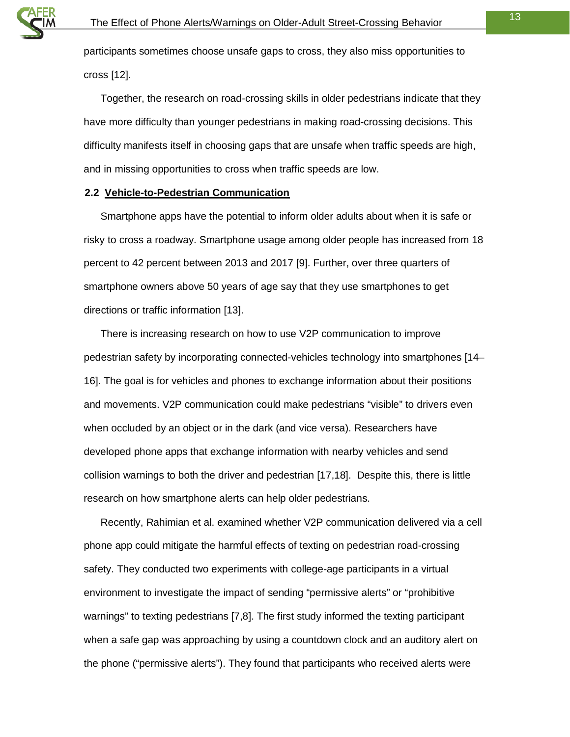

participants sometimes choose unsafe gaps to cross, they also miss opportunities to cross [12].

Together, the research on road-crossing skills in older pedestrians indicate that they have more difficulty than younger pedestrians in making road-crossing decisions. This difficulty manifests itself in choosing gaps that are unsafe when traffic speeds are high, and in missing opportunities to cross when traffic speeds are low.

#### <span id="page-12-0"></span>**2.2 Vehicle-to-Pedestrian Communication**

Smartphone apps have the potential to inform older adults about when it is safe or risky to cross a roadway. Smartphone usage among older people has increased from 18 percent to 42 percent between 2013 and 2017 [9]. Further, over three quarters of smartphone owners above 50 years of age say that they use smartphones to get directions or traffic information [13].

There is increasing research on how to use V2P communication to improve pedestrian safety by incorporating connected-vehicles technology into smartphones [14– 16]. The goal is for vehicles and phones to exchange information about their positions and movements. V2P communication could make pedestrians "visible" to drivers even when occluded by an object or in the dark (and vice versa). Researchers have developed phone apps that exchange information with nearby vehicles and send collision warnings to both the driver and pedestrian [17,18]. Despite this, there is little research on how smartphone alerts can help older pedestrians.

Recently, Rahimian et al. examined whether V2P communication delivered via a cell phone app could mitigate the harmful effects of texting on pedestrian road-crossing safety. They conducted two experiments with college-age participants in a virtual environment to investigate the impact of sending "permissive alerts" or "prohibitive warnings" to texting pedestrians [7,8]. The first study informed the texting participant when a safe gap was approaching by using a countdown clock and an auditory alert on the phone ("permissive alerts"). They found that participants who received alerts were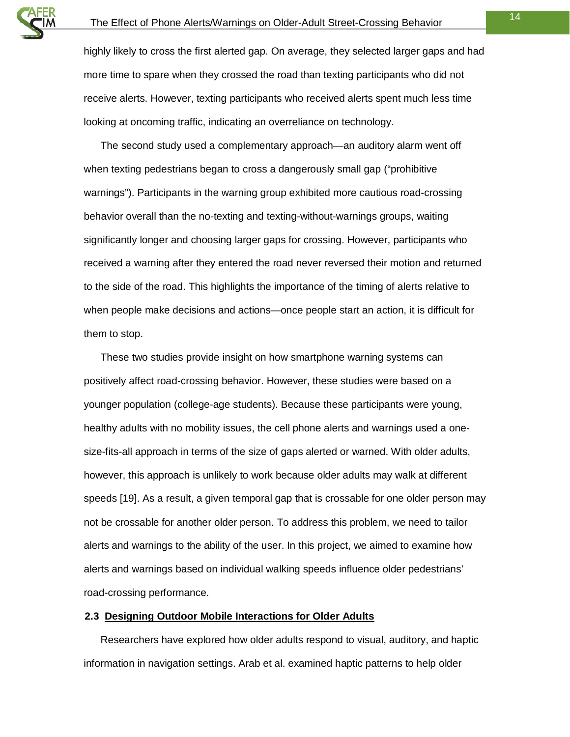highly likely to cross the first alerted gap. On average, they selected larger gaps and had more time to spare when they crossed the road than texting participants who did not receive alerts. However, texting participants who received alerts spent much less time looking at oncoming traffic, indicating an overreliance on technology.

The second study used a complementary approach—an auditory alarm went off when texting pedestrians began to cross a dangerously small gap ("prohibitive warnings"). Participants in the warning group exhibited more cautious road-crossing behavior overall than the no-texting and texting-without-warnings groups, waiting significantly longer and choosing larger gaps for crossing. However, participants who received a warning after they entered the road never reversed their motion and returned to the side of the road. This highlights the importance of the timing of alerts relative to when people make decisions and actions—once people start an action, it is difficult for them to stop.

These two studies provide insight on how smartphone warning systems can positively affect road-crossing behavior. However, these studies were based on a younger population (college-age students). Because these participants were young, healthy adults with no mobility issues, the cell phone alerts and warnings used a onesize-fits-all approach in terms of the size of gaps alerted or warned. With older adults, however, this approach is unlikely to work because older adults may walk at different speeds [19]. As a result, a given temporal gap that is crossable for one older person may not be crossable for another older person. To address this problem, we need to tailor alerts and warnings to the ability of the user. In this project, we aimed to examine how alerts and warnings based on individual walking speeds influence older pedestrians' road-crossing performance.

#### <span id="page-13-0"></span>**2.3 Designing Outdoor Mobile Interactions for Older Adults**

Researchers have explored how older adults respond to visual, auditory, and haptic information in navigation settings. Arab et al. examined haptic patterns to help older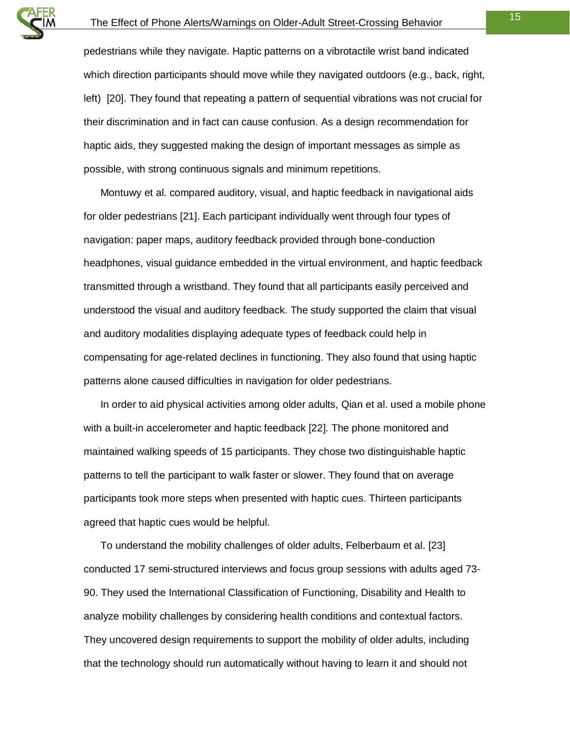pedestrians while they navigate. Haptic patterns on a vibrotactile wrist band indicated which direction participants should move while they navigated outdoors (e.g., back, right, left) [20]. They found that repeating a pattern of sequential vibrations was not crucial for their discrimination and in fact can cause confusion. As a design recommendation for haptic aids, they suggested making the design of important messages as simple as possible, with strong continuous signals and minimum repetitions.

Montuwy et al. compared auditory, visual, and haptic feedback in navigational aids for older pedestrians [21]. Each participant individually went through four types of navigation: paper maps, auditory feedback provided through bone-conduction headphones, visual guidance embedded in the virtual environment, and haptic feedback transmitted through a wristband. They found that all participants easily perceived and understood the visual and auditory feedback. The study supported the claim that visual and auditory modalities displaying adequate types of feedback could help in compensating for age-related declines in functioning. They also found that using haptic patterns alone caused difficulties in navigation for older pedestrians.

In order to aid physical activities among older adults, Qian et al. used a mobile phone with a built-in accelerometer and haptic feedback [22]. The phone monitored and maintained walking speeds of 15 participants. They chose two distinguishable haptic patterns to tell the participant to walk faster or slower. They found that on average participants took more steps when presented with haptic cues. Thirteen participants agreed that haptic cues would be helpful.

To understand the mobility challenges of older adults, Felberbaum et al. [23] conducted 17 semi-structured interviews and focus group sessions with adults aged 73- 90. They used the International Classification of Functioning, Disability and Health to analyze mobility challenges by considering health conditions and contextual factors. They uncovered design requirements to support the mobility of older adults, including that the technology should run automatically without having to learn it and should not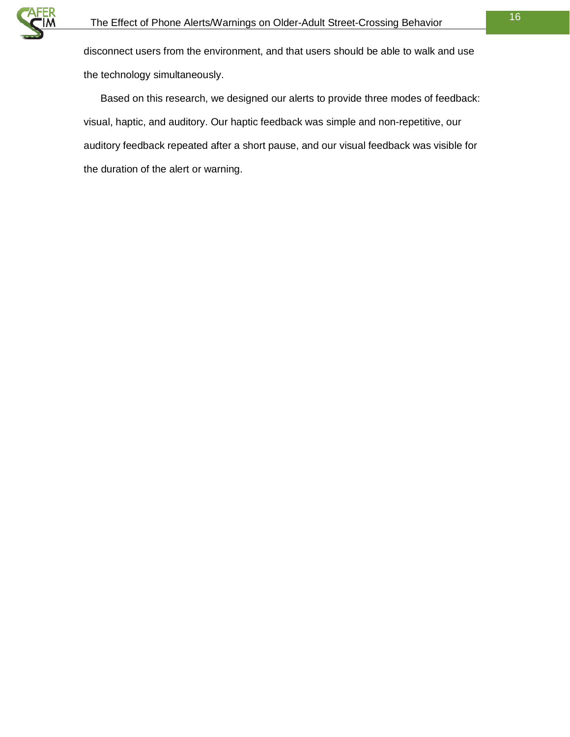

disconnect users from the environment, and that users should be able to walk and use the technology simultaneously.

Based on this research, we designed our alerts to provide three modes of feedback: visual, haptic, and auditory. Our haptic feedback was simple and non-repetitive, our auditory feedback repeated after a short pause, and our visual feedback was visible for the duration of the alert or warning.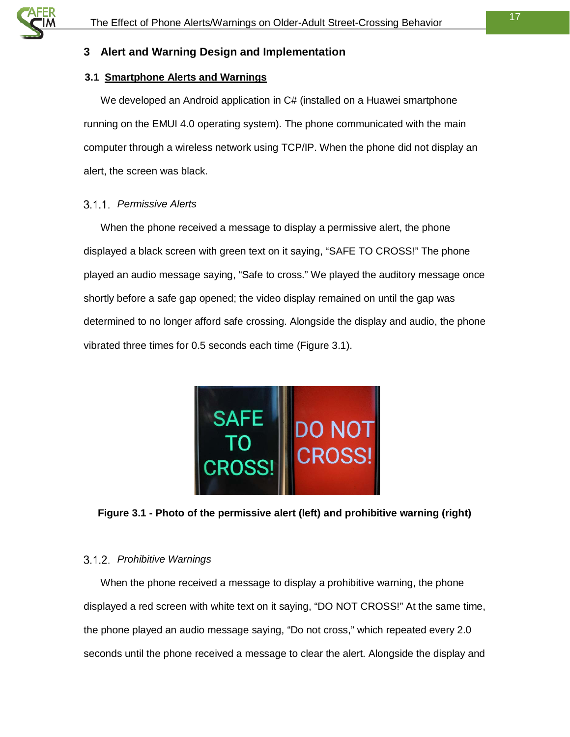#### <span id="page-16-0"></span>**3 Alert and Warning Design and Implementation**

#### <span id="page-16-1"></span>**3.1 Smartphone Alerts and Warnings**

We developed an Android application in C# (installed on a Huawei smartphone running on the EMUI 4.0 operating system). The phone communicated with the main computer through a wireless network using TCP/IP. When the phone did not display an alert, the screen was black.

#### <span id="page-16-2"></span>*Permissive Alerts*

When the phone received a message to display a permissive alert, the phone displayed a black screen with green text on it saying, "SAFE TO CROSS!" The phone played an audio message saying, "Safe to cross." We played the auditory message once shortly before a safe gap opened; the video display remained on until the gap was determined to no longer afford safe crossing. Alongside the display and audio, the phone vibrated three times for 0.5 seconds each time [\(Figure 3.1\)](#page-16-4).



**Figure 3.1 - Photo of the permissive alert (left) and prohibitive warning (right)**

#### <span id="page-16-4"></span><span id="page-16-3"></span>*Prohibitive Warnings*

When the phone received a message to display a prohibitive warning, the phone displayed a red screen with white text on it saying, "DO NOT CROSS!" At the same time, the phone played an audio message saying, "Do not cross," which repeated every 2.0 seconds until the phone received a message to clear the alert. Alongside the display and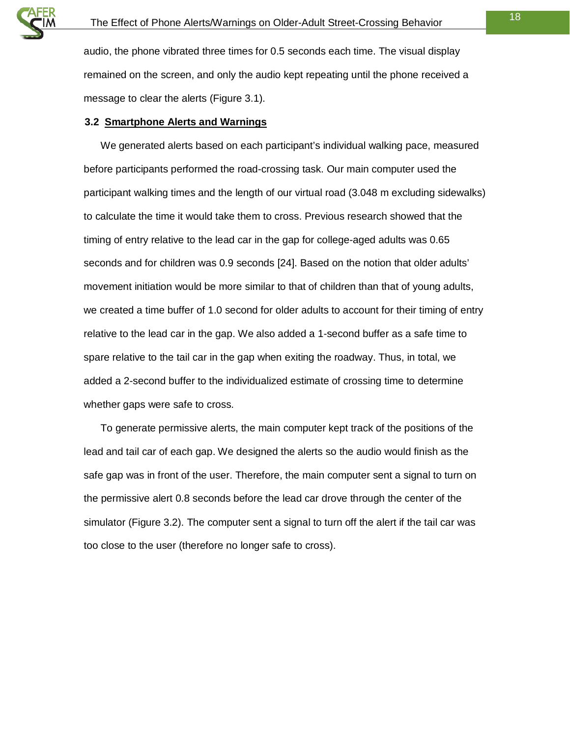audio, the phone vibrated three times for 0.5 seconds each time. The visual display remained on the screen, and only the audio kept repeating until the phone received a message to clear the alerts [\(Figure 3.1\)](#page-16-4).

#### <span id="page-17-0"></span>**3.2 Smartphone Alerts and Warnings**

We generated alerts based on each participant's individual walking pace, measured before participants performed the road-crossing task. Our main computer used the participant walking times and the length of our virtual road (3.048 m excluding sidewalks) to calculate the time it would take them to cross. Previous research showed that the timing of entry relative to the lead car in the gap for college-aged adults was 0.65 seconds and for children was 0.9 seconds [24]. Based on the notion that older adults' movement initiation would be more similar to that of children than that of young adults, we created a time buffer of 1.0 second for older adults to account for their timing of entry relative to the lead car in the gap. We also added a 1-second buffer as a safe time to spare relative to the tail car in the gap when exiting the roadway. Thus, in total, we added a 2-second buffer to the individualized estimate of crossing time to determine whether gaps were safe to cross.

To generate permissive alerts, the main computer kept track of the positions of the lead and tail car of each gap. We designed the alerts so the audio would finish as the safe gap was in front of the user. Therefore, the main computer sent a signal to turn on the permissive alert 0.8 seconds before the lead car drove through the center of the simulator [\(Figure 3.2\)](#page-18-0). The computer sent a signal to turn off the alert if the tail car was too close to the user (therefore no longer safe to cross).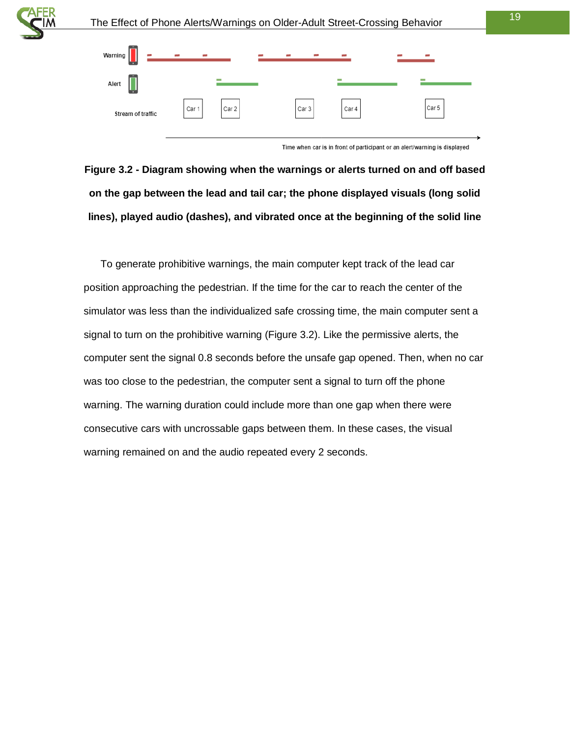



Time when car is in front of participant or an alert/warning is displayed

<span id="page-18-0"></span>**Figure 3.2 - Diagram showing when the warnings or alerts turned on and off based on the gap between the lead and tail car; the phone displayed visuals (long solid lines), played audio (dashes), and vibrated once at the beginning of the solid line**

To generate prohibitive warnings, the main computer kept track of the lead car position approaching the pedestrian. If the time for the car to reach the center of the simulator was less than the individualized safe crossing time, the main computer sent a signal to turn on the prohibitive warning [\(Figure 3.2\)](#page-18-0). Like the permissive alerts, the computer sent the signal 0.8 seconds before the unsafe gap opened. Then, when no car was too close to the pedestrian, the computer sent a signal to turn off the phone warning. The warning duration could include more than one gap when there were consecutive cars with uncrossable gaps between them. In these cases, the visual warning remained on and the audio repeated every 2 seconds.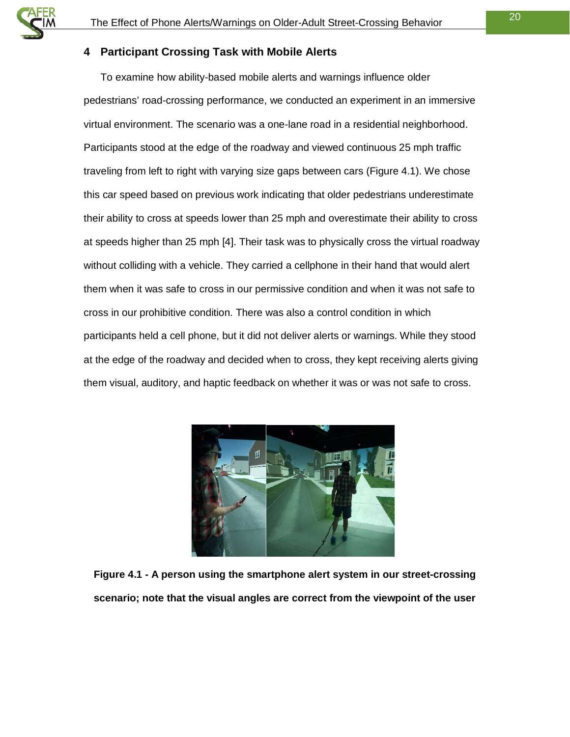#### <span id="page-19-0"></span>**4 Participant Crossing Task with Mobile Alerts**

To examine how ability-based mobile alerts and warnings influence older pedestrians' road-crossing performance, we conducted an experiment in an immersive virtual environment. The scenario was a one-lane road in a residential neighborhood. Participants stood at the edge of the roadway and viewed continuous 25 mph traffic traveling from left to right with varying size gaps between cars [\(Figure 4.1\)](#page-19-1). We chose this car speed based on previous work indicating that older pedestrians underestimate their ability to cross at speeds lower than 25 mph and overestimate their ability to cross at speeds higher than 25 mph [4]. Their task was to physically cross the virtual roadway without colliding with a vehicle. They carried a cellphone in their hand that would alert them when it was safe to cross in our permissive condition and when it was not safe to cross in our prohibitive condition. There was also a control condition in which participants held a cell phone, but it did not deliver alerts or warnings. While they stood at the edge of the roadway and decided when to cross, they kept receiving alerts giving them visual, auditory, and haptic feedback on whether it was or was not safe to cross.

<span id="page-19-1"></span>

**Figure 4.1 - A person using the smartphone alert system in our street-crossing scenario; note that the visual angles are correct from the viewpoint of the user**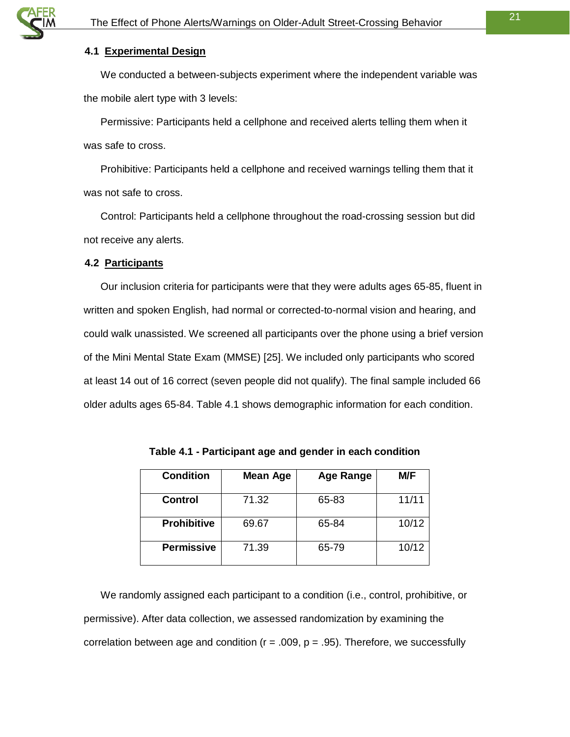#### <span id="page-20-0"></span>**4.1 Experimental Design**

We conducted a between-subjects experiment where the independent variable was the mobile alert type with 3 levels:

Permissive: Participants held a cellphone and received alerts telling them when it was safe to cross.

Prohibitive: Participants held a cellphone and received warnings telling them that it was not safe to cross.

Control: Participants held a cellphone throughout the road-crossing session but did not receive any alerts.

#### <span id="page-20-1"></span>**4.2 Participants**

Our inclusion criteria for participants were that they were adults ages 65-85, fluent in written and spoken English, had normal or corrected-to-normal vision and hearing, and could walk unassisted. We screened all participants over the phone using a brief version of the Mini Mental State Exam (MMSE) [25]. We included only participants who scored at least 14 out of 16 correct (seven people did not qualify). The final sample included 66 older adults ages 65-84. [Table 4.1](#page-20-2) shows demographic information for each condition.

<span id="page-20-2"></span>

|       | <b>M/F</b> |
|-------|------------|
| 65-83 | 11/11      |
| 65-84 | 10/12      |
| 65-79 | 10/12      |
|       |            |

**Table 4.1 - Participant age and gender in each condition**

We randomly assigned each participant to a condition (i.e., control, prohibitive, or permissive). After data collection, we assessed randomization by examining the correlation between age and condition ( $r = .009$ ,  $p = .95$ ). Therefore, we successfully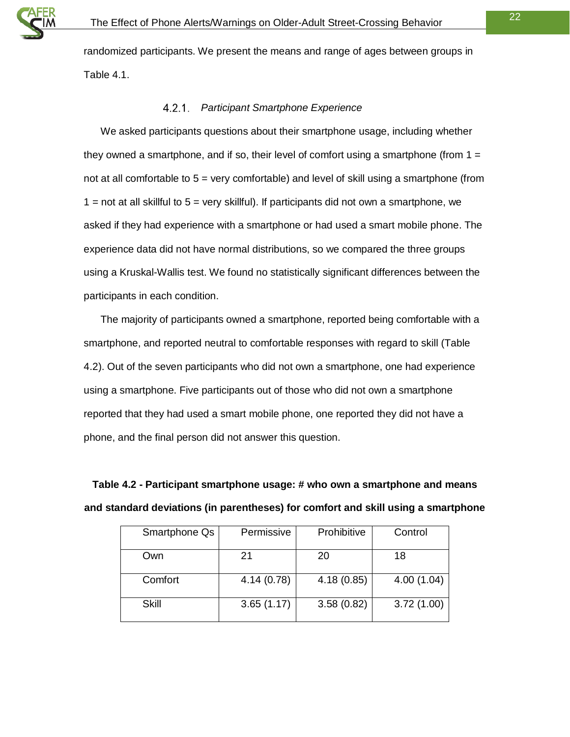

randomized participants. We present the means and range of ages between groups in [Table 4.1.](#page-20-2)

#### *Participant Smartphone Experience*

<span id="page-21-0"></span>We asked participants questions about their smartphone usage, including whether they owned a smartphone, and if so, their level of comfort using a smartphone (from  $1 =$ not at all comfortable to 5 = very comfortable) and level of skill using a smartphone (from  $1$  = not at all skillful to  $5$  = very skillful). If participants did not own a smartphone, we asked if they had experience with a smartphone or had used a smart mobile phone. The experience data did not have normal distributions, so we compared the three groups using a Kruskal-Wallis test. We found no statistically significant differences between the participants in each condition.

The majority of participants owned a smartphone, reported being comfortable with a smartphone, and reported neutral to comfortable responses with regard to skill [\(Table](#page-21-1)  [4.2\)](#page-21-1). Out of the seven participants who did not own a smartphone, one had experience using a smartphone. Five participants out of those who did not own a smartphone reported that they had used a smart mobile phone, one reported they did not have a phone, and the final person did not answer this question.

<span id="page-21-1"></span>**Table 4.2 - Participant smartphone usage: # who own a smartphone and means and standard deviations (in parentheses) for comfort and skill using a smartphone**

| Smartphone Qs | Permissive | Prohibitive | Control    |
|---------------|------------|-------------|------------|
| Own           | 21         | 20          | 18         |
| Comfort       | 4.14(0.78) | 4.18(0.85)  | 4.00(1.04) |
| Skill         | 3.65(1.17) | 3.58(0.82)  | 3.72(1.00) |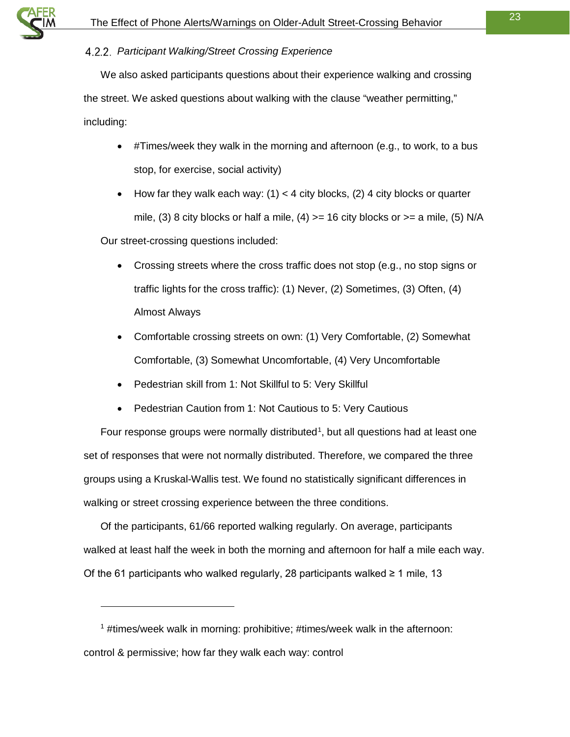

#### <span id="page-22-0"></span>*Participant Walking/Street Crossing Experience*

We also asked participants questions about their experience walking and crossing the street. We asked questions about walking with the clause "weather permitting," including:

- #Times/week they walk in the morning and afternoon (e.g., to work, to a bus stop, for exercise, social activity)
- How far they walk each way:  $(1) < 4$  city blocks,  $(2)$  4 city blocks or quarter mile, (3) 8 city blocks or half a mile, (4)  $>= 16$  city blocks or  $>= a$  mile, (5) N/A

Our street-crossing questions included:

 $\ddot{ }$ 

- Crossing streets where the cross traffic does not stop (e.g., no stop signs or traffic lights for the cross traffic): (1) Never, (2) Sometimes, (3) Often, (4) Almost Always
- Comfortable crossing streets on own: (1) Very Comfortable, (2) Somewhat Comfortable, (3) Somewhat Uncomfortable, (4) Very Uncomfortable
- Pedestrian skill from 1: Not Skillful to 5: Very Skillful
- Pedestrian Caution from 1: Not Cautious to 5: Very Cautious

Four response groups were normally distributed<sup>[1](#page-22-1)</sup>, but all questions had at least one set of responses that were not normally distributed. Therefore, we compared the three groups using a Kruskal-Wallis test. We found no statistically significant differences in walking or street crossing experience between the three conditions.

Of the participants, 61/66 reported walking regularly. On average, participants walked at least half the week in both the morning and afternoon for half a mile each way. Of the 61 participants who walked regularly, 28 participants walked ≥ 1 mile, 13

<span id="page-22-1"></span><sup>1</sup> #times/week walk in morning: prohibitive; #times/week walk in the afternoon: control & permissive; how far they walk each way: control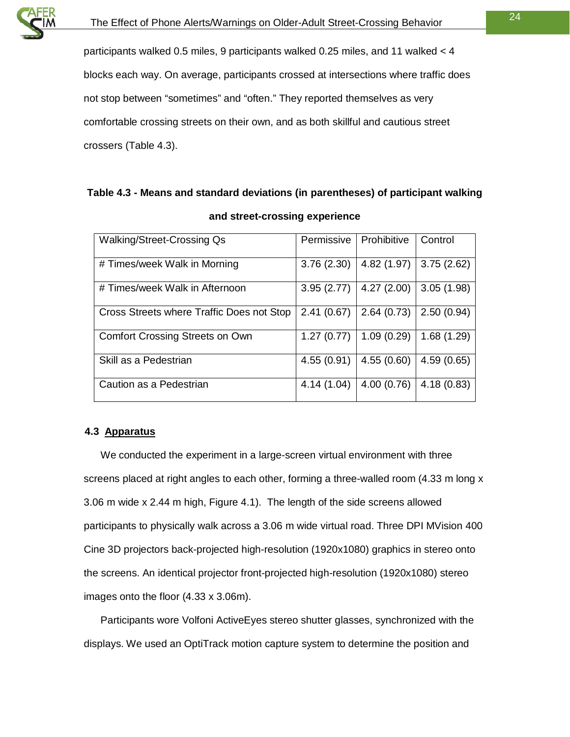

participants walked 0.5 miles, 9 participants walked 0.25 miles, and 11 walked < 4 blocks each way. On average, participants crossed at intersections where traffic does not stop between "sometimes" and "often." They reported themselves as very comfortable crossing streets on their own, and as both skillful and cautious street crossers [\(Table 4.3\)](#page-23-1).

# <span id="page-23-1"></span>**Table 4.3 - Means and standard deviations (in parentheses) of participant walking**

| <b>Walking/Street-Crossing Qs</b>         | Permissive | Prohibitive | Control    |
|-------------------------------------------|------------|-------------|------------|
| # Times/week Walk in Morning              | 3.76(2.30) | 4.82 (1.97) | 3.75(2.62) |
| # Times/week Walk in Afternoon            | 3.95(2.77) | 4.27(2.00)  | 3.05(1.98) |
| Cross Streets where Traffic Does not Stop | 2.41(0.67) | 2.64(0.73)  | 2.50(0.94) |
| <b>Comfort Crossing Streets on Own</b>    | 1.27(0.77) | 1.09(0.29)  | 1.68(1.29) |
| Skill as a Pedestrian                     | 4.55(0.91) | 4.55(0.60)  | 4.59(0.65) |
| Caution as a Pedestrian                   | 4.14(1.04) | 4.00(0.76)  | 4.18(0.83) |

#### **and street-crossing experience**

#### <span id="page-23-0"></span>**4.3 Apparatus**

We conducted the experiment in a large-screen virtual environment with three screens placed at right angles to each other, forming a three-walled room (4.33 m long x 3.06 m wide x 2.44 m high, [Figure 4.1\)](#page-19-1). The length of the side screens allowed participants to physically walk across a 3.06 m wide virtual road. Three DPI MVision 400 Cine 3D projectors back-projected high-resolution (1920x1080) graphics in stereo onto the screens. An identical projector front-projected high-resolution (1920x1080) stereo images onto the floor (4.33 x 3.06m).

Participants wore Volfoni ActiveEyes stereo shutter glasses, synchronized with the displays. We used an OptiTrack motion capture system to determine the position and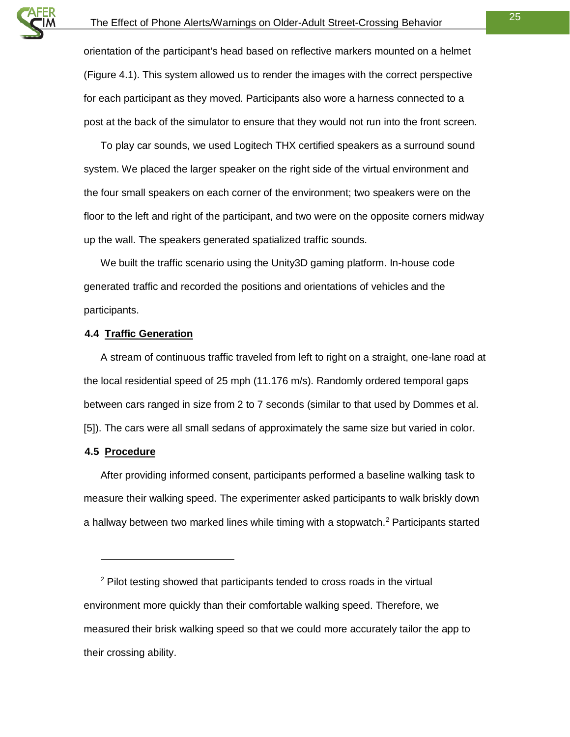

orientation of the participant's head based on reflective markers mounted on a helmet [\(Figure 4.1\)](#page-19-1). This system allowed us to render the images with the correct perspective for each participant as they moved. Participants also wore a harness connected to a post at the back of the simulator to ensure that they would not run into the front screen.

To play car sounds, we used Logitech THX certified speakers as a surround sound system. We placed the larger speaker on the right side of the virtual environment and the four small speakers on each corner of the environment; two speakers were on the floor to the left and right of the participant, and two were on the opposite corners midway up the wall. The speakers generated spatialized traffic sounds.

We built the traffic scenario using the Unity3D gaming platform. In-house code generated traffic and recorded the positions and orientations of vehicles and the participants.

#### <span id="page-24-0"></span>**4.4 Traffic Generation**

A stream of continuous traffic traveled from left to right on a straight, one-lane road at the local residential speed of 25 mph (11.176 m/s). Randomly ordered temporal gaps between cars ranged in size from 2 to 7 seconds (similar to that used by Dommes et al. [5]). The cars were all small sedans of approximately the same size but varied in color.

#### <span id="page-24-1"></span>**4.5 Procedure**

 $\ddot{ }$ 

After providing informed consent, participants performed a baseline walking task to measure their walking speed. The experimenter asked participants to walk briskly down a hallway between two marked lines while timing with a stopwatch.<sup>2</sup> Participants started

<span id="page-24-2"></span><sup>&</sup>lt;sup>2</sup> Pilot testing showed that participants tended to cross roads in the virtual environment more quickly than their comfortable walking speed. Therefore, we measured their brisk walking speed so that we could more accurately tailor the app to their crossing ability.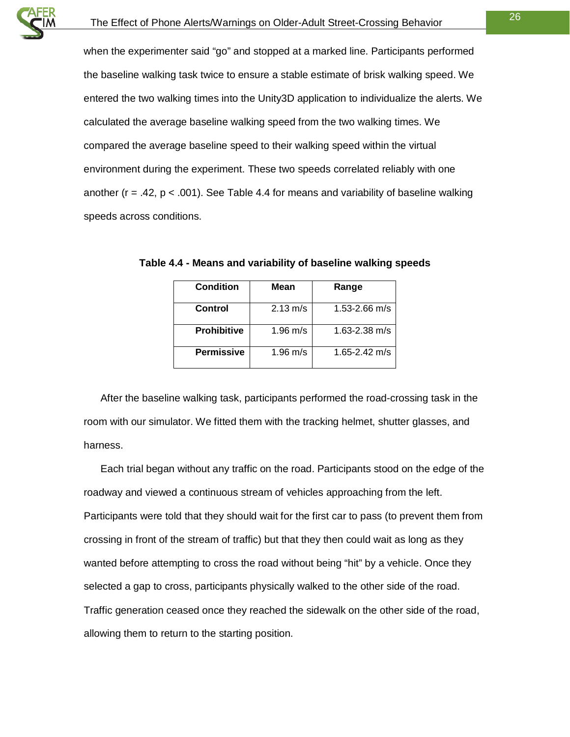when the experimenter said "go" and stopped at a marked line. Participants performed the baseline walking task twice to ensure a stable estimate of brisk walking speed. We entered the two walking times into the Unity3D application to individualize the alerts. We calculated the average baseline walking speed from the two walking times. We compared the average baseline speed to their walking speed within the virtual environment during the experiment. These two speeds correlated reliably with one another ( $r = .42$ ,  $p < .001$ ). See [Table 4.4](#page-25-0) for means and variability of baseline walking speeds across conditions.

| <b>Condition</b>   | Mean               | Range             |
|--------------------|--------------------|-------------------|
| Control            | $2.13 \text{ m/s}$ | $1.53 - 2.66$ m/s |
| <b>Prohibitive</b> | 1.96 m/s           | $1.63 - 2.38$ m/s |
| <b>Permissive</b>  | 1.96 m/s           | 1.65-2.42 m/s     |

<span id="page-25-0"></span>**Table 4.4 - Means and variability of baseline walking speeds**

After the baseline walking task, participants performed the road-crossing task in the room with our simulator. We fitted them with the tracking helmet, shutter glasses, and harness.

Each trial began without any traffic on the road. Participants stood on the edge of the roadway and viewed a continuous stream of vehicles approaching from the left. Participants were told that they should wait for the first car to pass (to prevent them from crossing in front of the stream of traffic) but that they then could wait as long as they wanted before attempting to cross the road without being "hit" by a vehicle. Once they selected a gap to cross, participants physically walked to the other side of the road. Traffic generation ceased once they reached the sidewalk on the other side of the road, allowing them to return to the starting position.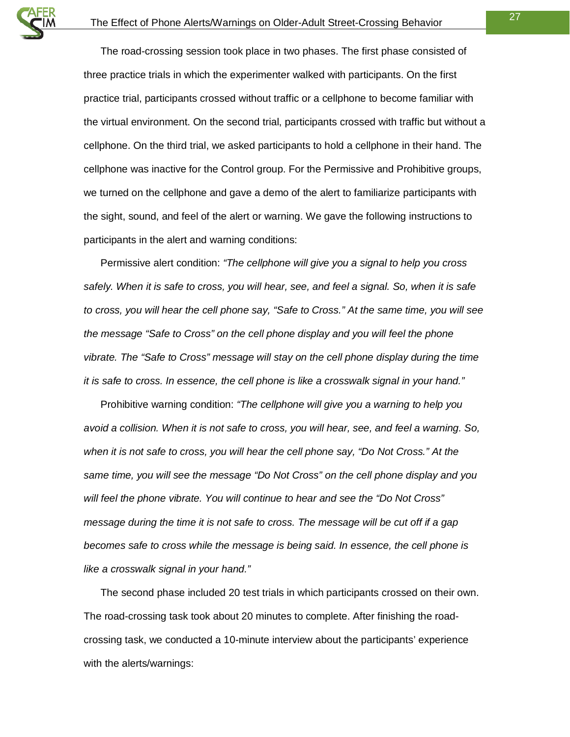The road-crossing session took place in two phases. The first phase consisted of three practice trials in which the experimenter walked with participants. On the first practice trial, participants crossed without traffic or a cellphone to become familiar with the virtual environment. On the second trial, participants crossed with traffic but without a cellphone. On the third trial, we asked participants to hold a cellphone in their hand. The cellphone was inactive for the Control group. For the Permissive and Prohibitive groups, we turned on the cellphone and gave a demo of the alert to familiarize participants with the sight, sound, and feel of the alert or warning. We gave the following instructions to participants in the alert and warning conditions:

Permissive alert condition: *"The cellphone will give you a signal to help you cross safely. When it is safe to cross, you will hear, see, and feel a signal. So, when it is safe to cross, you will hear the cell phone say, "Safe to Cross." At the same time, you will see the message "Safe to Cross" on the cell phone display and you will feel the phone vibrate. The "Safe to Cross" message will stay on the cell phone display during the time it is safe to cross. In essence, the cell phone is like a crosswalk signal in your hand."*

Prohibitive warning condition: *"The cellphone will give you a warning to help you avoid a collision. When it is not safe to cross, you will hear, see, and feel a warning. So, when it is not safe to cross, you will hear the cell phone say, "Do Not Cross." At the same time, you will see the message "Do Not Cross" on the cell phone display and you will feel the phone vibrate. You will continue to hear and see the "Do Not Cross" message during the time it is not safe to cross. The message will be cut off if a gap becomes safe to cross while the message is being said. In essence, the cell phone is like a crosswalk signal in your hand."*

The second phase included 20 test trials in which participants crossed on their own. The road-crossing task took about 20 minutes to complete. After finishing the roadcrossing task, we conducted a 10-minute interview about the participants' experience with the alerts/warnings: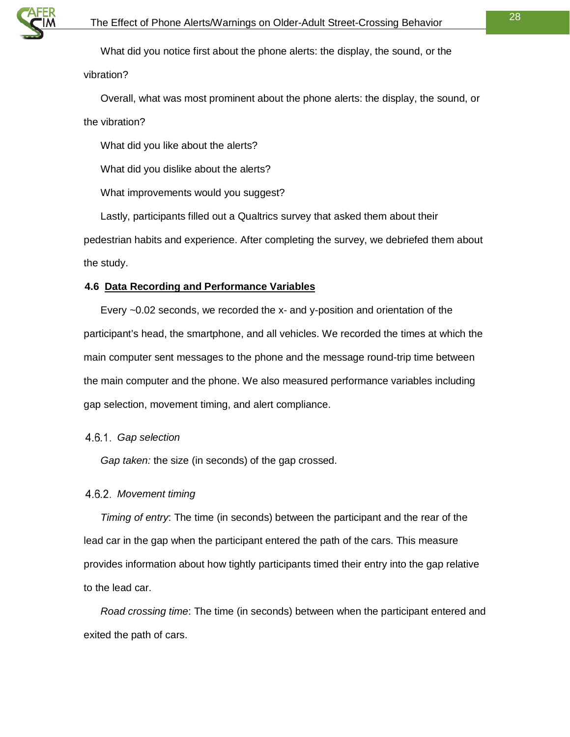

What did you notice first about the phone alerts: the display, the sound, or the vibration?

Overall, what was most prominent about the phone alerts: the display, the sound, or the vibration?

What did you like about the alerts?

What did you dislike about the alerts?

What improvements would you suggest?

Lastly, participants filled out a Qualtrics survey that asked them about their pedestrian habits and experience. After completing the survey, we debriefed them about the study.

#### <span id="page-27-0"></span>**4.6 Data Recording and Performance Variables**

Every ~0.02 seconds, we recorded the x- and y-position and orientation of the participant's head, the smartphone, and all vehicles. We recorded the times at which the main computer sent messages to the phone and the message round-trip time between the main computer and the phone. We also measured performance variables including gap selection, movement timing, and alert compliance.

#### <span id="page-27-1"></span>*Gap selection*

*Gap taken:* the size (in seconds) of the gap crossed.

#### <span id="page-27-2"></span>*Movement timing*

*Timing of entry*: The time (in seconds) between the participant and the rear of the lead car in the gap when the participant entered the path of the cars. This measure provides information about how tightly participants timed their entry into the gap relative to the lead car.

*Road crossing time*: The time (in seconds) between when the participant entered and exited the path of cars.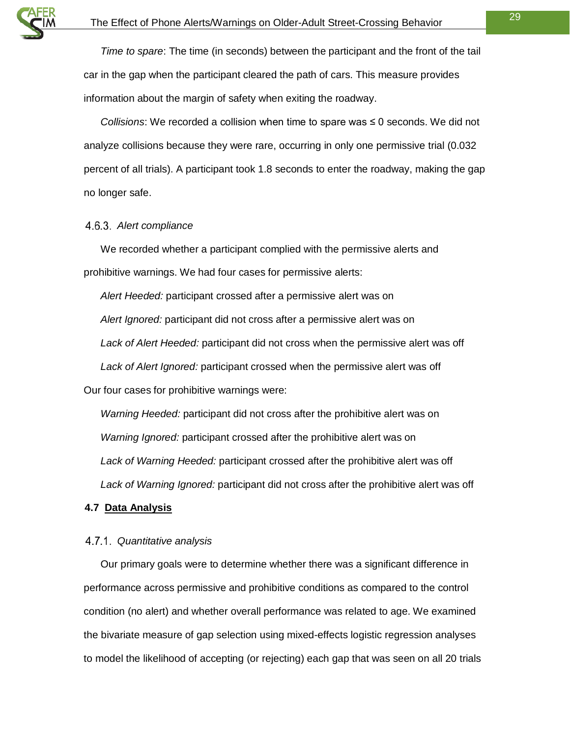*Time to spare*: The time (in seconds) between the participant and the front of the tail car in the gap when the participant cleared the path of cars. This measure provides information about the margin of safety when exiting the roadway.

*Collisions*: We recorded a collision when time to spare was ≤ 0 seconds. We did not analyze collisions because they were rare, occurring in only one permissive trial (0.032 percent of all trials). A participant took 1.8 seconds to enter the roadway, making the gap no longer safe.

#### <span id="page-28-0"></span>*Alert compliance*

We recorded whether a participant complied with the permissive alerts and prohibitive warnings. We had four cases for permissive alerts:

*Alert Heeded:* participant crossed after a permissive alert was on *Alert Ignored:* participant did not cross after a permissive alert was on *Lack of Alert Heeded:* participant did not cross when the permissive alert was off *Lack of Alert Ignored:* participant crossed when the permissive alert was off Our four cases for prohibitive warnings were:

*Warning Heeded:* participant did not cross after the prohibitive alert was on *Warning Ignored:* participant crossed after the prohibitive alert was on *Lack of Warning Heeded:* participant crossed after the prohibitive alert was off *Lack of Warning Ignored:* participant did not cross after the prohibitive alert was off

#### <span id="page-28-1"></span>**4.7 Data Analysis**

#### <span id="page-28-2"></span>*Quantitative analysis*

Our primary goals were to determine whether there was a significant difference in performance across permissive and prohibitive conditions as compared to the control condition (no alert) and whether overall performance was related to age. We examined the bivariate measure of gap selection using mixed-effects logistic regression analyses to model the likelihood of accepting (or rejecting) each gap that was seen on all 20 trials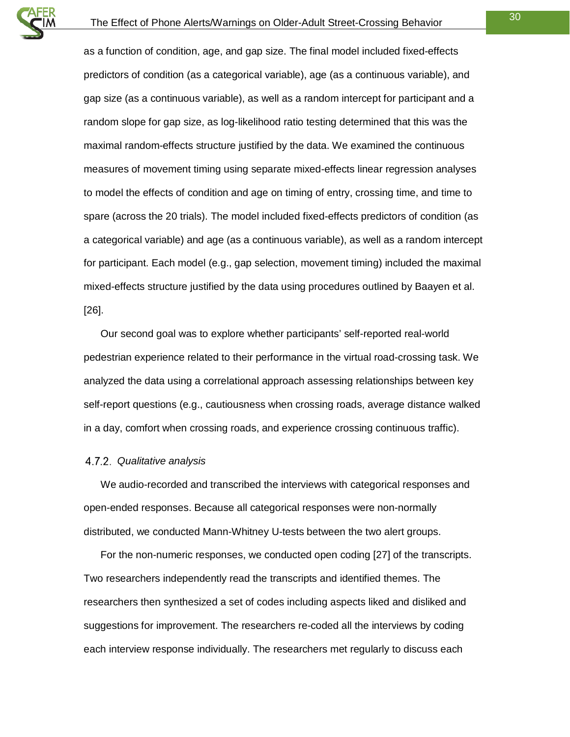as a function of condition, age, and gap size. The final model included fixed-effects predictors of condition (as a categorical variable), age (as a continuous variable), and gap size (as a continuous variable), as well as a random intercept for participant and a random slope for gap size, as log-likelihood ratio testing determined that this was the maximal random-effects structure justified by the data. We examined the continuous measures of movement timing using separate mixed-effects linear regression analyses to model the effects of condition and age on timing of entry, crossing time, and time to spare (across the 20 trials). The model included fixed-effects predictors of condition (as a categorical variable) and age (as a continuous variable), as well as a random intercept for participant. Each model (e.g., gap selection, movement timing) included the maximal mixed-effects structure justified by the data using procedures outlined by Baayen et al. [26].

Our second goal was to explore whether participants' self-reported real-world pedestrian experience related to their performance in the virtual road-crossing task. We analyzed the data using a correlational approach assessing relationships between key self-report questions (e.g., cautiousness when crossing roads, average distance walked in a day, comfort when crossing roads, and experience crossing continuous traffic).

#### <span id="page-29-0"></span>*Qualitative analysis*

We audio-recorded and transcribed the interviews with categorical responses and open-ended responses. Because all categorical responses were non-normally distributed, we conducted Mann-Whitney U-tests between the two alert groups.

For the non-numeric responses, we conducted open coding [27] of the transcripts. Two researchers independently read the transcripts and identified themes. The researchers then synthesized a set of codes including aspects liked and disliked and suggestions for improvement. The researchers re-coded all the interviews by coding each interview response individually. The researchers met regularly to discuss each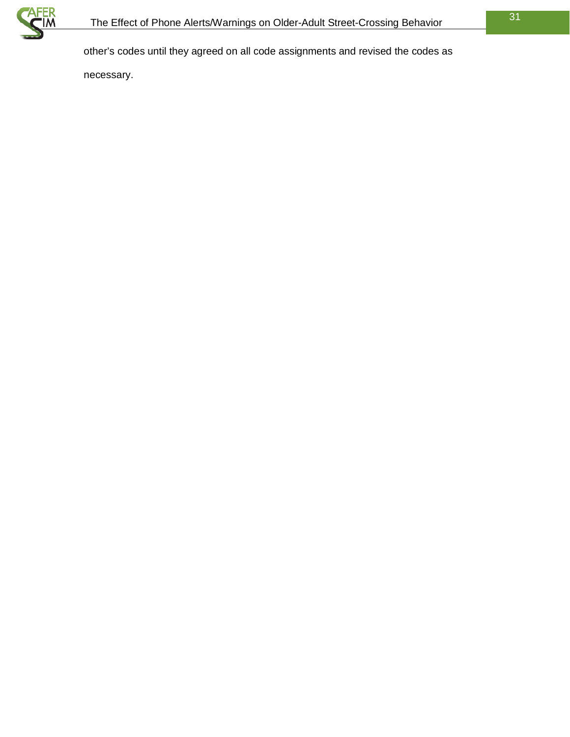

other's codes until they agreed on all code assignments and revised the codes as

necessary.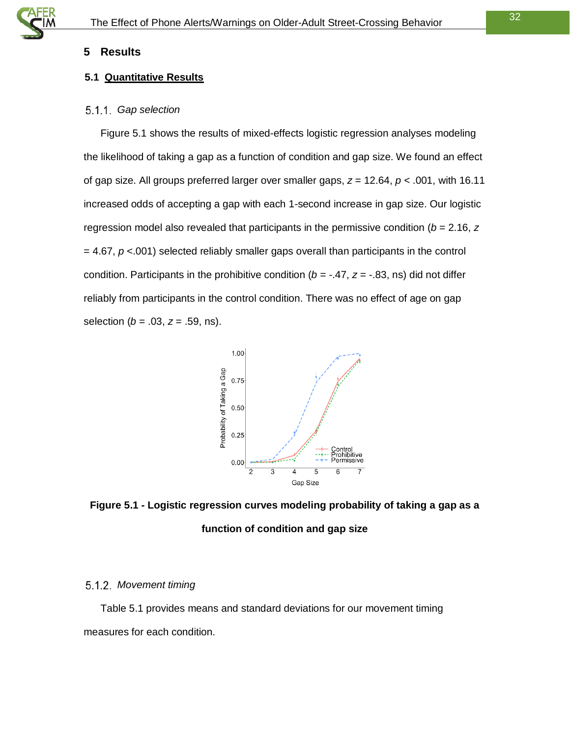#### <span id="page-31-0"></span>**5 Results**

#### <span id="page-31-1"></span>**5.1 Quantitative Results**

#### <span id="page-31-2"></span>*Gap selection*

[Figure 5.1](#page-31-4) shows the results of mixed-effects logistic regression analyses modeling the likelihood of taking a gap as a function of condition and gap size. We found an effect of gap size. All groups preferred larger over smaller gaps, *z* = 12.64, *p* < .001, with 16.11 increased odds of accepting a gap with each 1-second increase in gap size. Our logistic regression model also revealed that participants in the permissive condition (*b* = 2.16, *z* = 4.67, *p* <.001) selected reliably smaller gaps overall than participants in the control condition. Participants in the prohibitive condition ( $b = -0.47$ ,  $z = -0.83$ , ns) did not differ reliably from participants in the control condition. There was no effect of age on gap selection (*b* = .03, *z* = .59, ns).



<span id="page-31-4"></span>**Figure 5.1 - Logistic regression curves modeling probability of taking a gap as a function of condition and gap size**

#### <span id="page-31-3"></span>*Movement timing*

Table 5.1 provides means and standard deviations for our movement timing measures for each condition.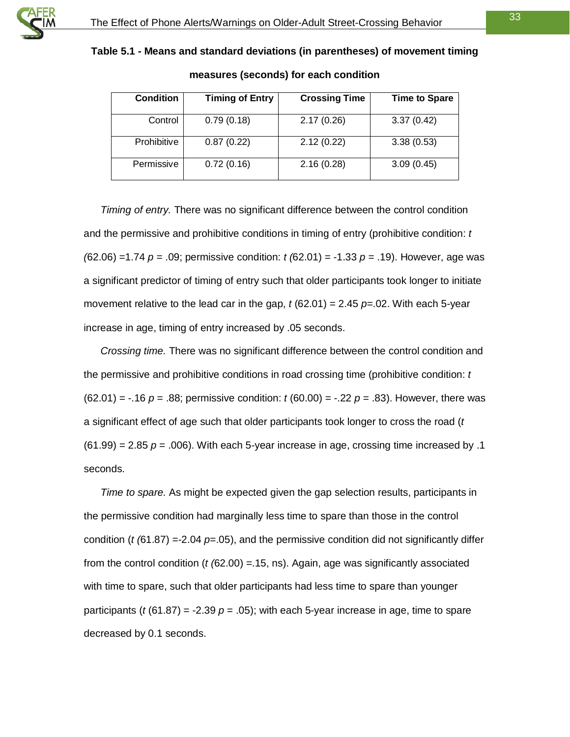

**Table 5.1 - Means and standard deviations (in parentheses) of movement timing** 

| <b>Condition</b> | <b>Timing of Entry</b> | <b>Crossing Time</b> | <b>Time to Spare</b> |
|------------------|------------------------|----------------------|----------------------|
| Control          | 0.79(0.18)             | 2.17(0.26)           | 3.37(0.42)           |
| Prohibitive      | 0.87(0.22)             | 2.12(0.22)           | 3.38(0.53)           |
| Permissive       | 0.72(0.16)             | 2.16(0.28)           | 3.09(0.45)           |

<span id="page-32-0"></span>

**measures (seconds) for each condition**

*Timing of entry.* There was no significant difference between the control condition and the permissive and prohibitive conditions in timing of entry (prohibitive condition: *t (*62.06) =1.74 *p* = .09; permissive condition: *t (*62.01) = -1.33 *p* = .19). However, age was a significant predictor of timing of entry such that older participants took longer to initiate movement relative to the lead car in the gap, *t* (62.01) = 2.45 *p*=.02. With each 5-year increase in age, timing of entry increased by .05 seconds.

*Crossing time.* There was no significant difference between the control condition and the permissive and prohibitive conditions in road crossing time (prohibitive condition: *t*  $(62.01) = -.16$   $p = .88$ ; permissive condition:  $t(60.00) = -.22$   $p = .83$ ). However, there was a significant effect of age such that older participants took longer to cross the road (*t*  $(61.99) = 2.85$   $p = .006$ ). With each 5-year increase in age, crossing time increased by .1 seconds.

*Time to spare.* As might be expected given the gap selection results, participants in the permissive condition had marginally less time to spare than those in the control condition (*t (*61.87) =-2.04 *p*=.05), and the permissive condition did not significantly differ from the control condition (*t (*62.00) =.15, ns). Again, age was significantly associated with time to spare, such that older participants had less time to spare than younger participants ( $t$  (61.87) = -2.39  $p$  = .05); with each 5-year increase in age, time to spare decreased by 0.1 seconds.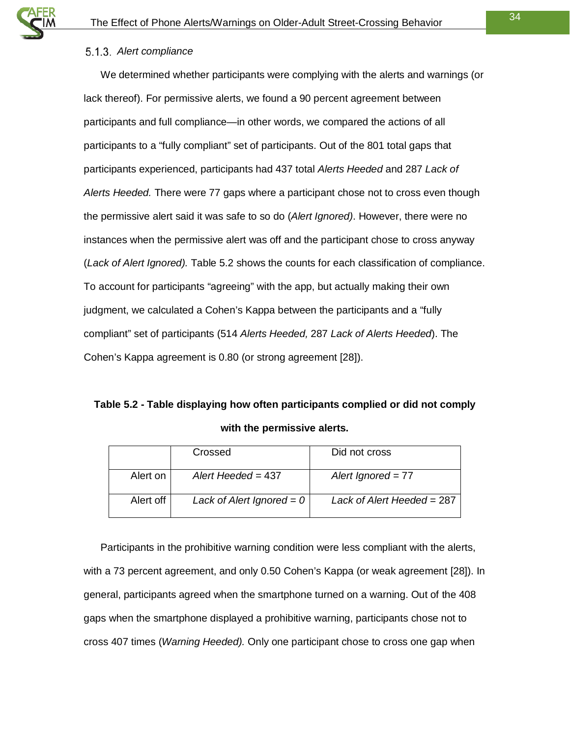#### <span id="page-33-0"></span>*Alert compliance*

We determined whether participants were complying with the alerts and warnings (or lack thereof). For permissive alerts, we found a 90 percent agreement between participants and full compliance—in other words, we compared the actions of all participants to a "fully compliant" set of participants. Out of the 801 total gaps that participants experienced, participants had 437 total *Alerts Heeded* and 287 *Lack of Alerts Heeded.* There were 77 gaps where a participant chose not to cross even though the permissive alert said it was safe to so do (*Alert Ignored)*. However, there were no instances when the permissive alert was off and the participant chose to cross anyway (*Lack of Alert Ignored).* [Table 5.2](#page-33-1) shows the counts for each classification of compliance. To account for participants "agreeing" with the app, but actually making their own judgment, we calculated a Cohen's Kappa between the participants and a "fully compliant" set of participants (514 *Alerts Heeded,* 287 *Lack of Alerts Heeded*). The Cohen's Kappa agreement is 0.80 (or strong agreement [28]).

# <span id="page-33-1"></span>**Table 5.2 - Table displaying how often participants complied or did not comply with the permissive alerts.**

|           | Crossed                     | Did not cross                |
|-----------|-----------------------------|------------------------------|
| Alert on  | Alert Heeded = $437$        | Alert Ignored $= 77$         |
| Alert off | Lack of Alert Ignored = $0$ | Lack of Alert Heeded = $287$ |

Participants in the prohibitive warning condition were less compliant with the alerts, with a 73 percent agreement, and only 0.50 Cohen's Kappa (or weak agreement [28]). In general, participants agreed when the smartphone turned on a warning. Out of the 408 gaps when the smartphone displayed a prohibitive warning, participants chose not to cross 407 times (*Warning Heeded).* Only one participant chose to cross one gap when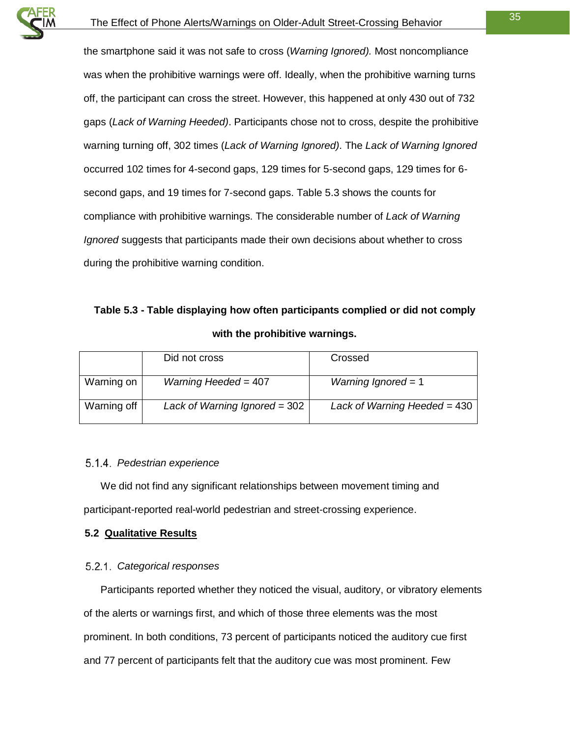the smartphone said it was not safe to cross (*Warning Ignored).* Most noncompliance was when the prohibitive warnings were off. Ideally, when the prohibitive warning turns off, the participant can cross the street. However, this happened at only 430 out of 732 gaps (*Lack of Warning Heeded)*. Participants chose not to cross, despite the prohibitive warning turning off, 302 times (*Lack of Warning Ignored)*. The *Lack of Warning Ignored*  occurred 102 times for 4-second gaps, 129 times for 5-second gaps, 129 times for 6 second gaps, and 19 times for 7-second gaps. [Table 5.3](#page-34-3) shows the counts for compliance with prohibitive warnings. The considerable number of *Lack of Warning Ignored* suggests that participants made their own decisions about whether to cross during the prohibitive warning condition.

# <span id="page-34-3"></span>**Table 5.3 - Table displaying how often participants complied or did not comply with the prohibitive warnings.**

|             | Did not cross                   | Crossed                        |
|-------------|---------------------------------|--------------------------------|
| Warning on  | Warning Heeded = $407$          | Warning Ignored = $1$          |
| Warning off | Lack of Warning Ignored = $302$ | Lack of Warning Heeded = $430$ |

#### <span id="page-34-0"></span>*Pedestrian experience*

We did not find any significant relationships between movement timing and participant-reported real-world pedestrian and street-crossing experience.

#### <span id="page-34-1"></span>**5.2 Qualitative Results**

#### <span id="page-34-2"></span>*Categorical responses*

Participants reported whether they noticed the visual, auditory, or vibratory elements of the alerts or warnings first, and which of those three elements was the most prominent. In both conditions, 73 percent of participants noticed the auditory cue first and 77 percent of participants felt that the auditory cue was most prominent. Few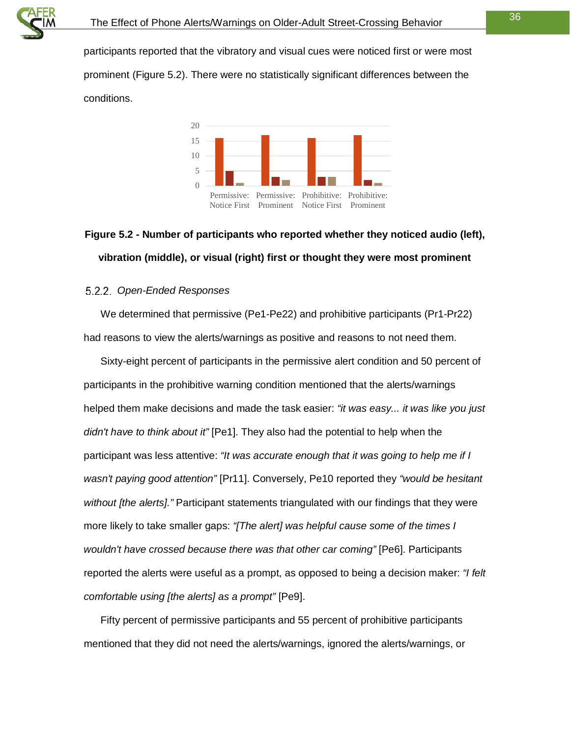

participants reported that the vibratory and visual cues were noticed first or were most prominent [\(Figure 5.2\)](#page-35-1). There were no statistically significant differences between the conditions.



# <span id="page-35-1"></span>**Figure 5.2 - Number of participants who reported whether they noticed audio (left), vibration (middle), or visual (right) first or thought they were most prominent**

#### <span id="page-35-0"></span>*Open-Ended Responses*

We determined that permissive (Pe1-Pe22) and prohibitive participants (Pr1-Pr22) had reasons to view the alerts/warnings as positive and reasons to not need them.

Sixty-eight percent of participants in the permissive alert condition and 50 percent of participants in the prohibitive warning condition mentioned that the alerts/warnings helped them make decisions and made the task easier: *"it was easy... it was like you just didn't have to think about it"* [Pe1]. They also had the potential to help when the participant was less attentive: *"It was accurate enough that it was going to help me if I wasn't paying good attention"* [Pr11]. Conversely, Pe10 reported they *"would be hesitant without [the alerts]."* Participant statements triangulated with our findings that they were more likely to take smaller gaps: *"[The alert] was helpful cause some of the times I wouldn't have crossed because there was that other car coming"* [Pe6]. Participants reported the alerts were useful as a prompt, as opposed to being a decision maker: *"I felt comfortable using [the alerts] as a prompt"* [Pe9].

Fifty percent of permissive participants and 55 percent of prohibitive participants mentioned that they did not need the alerts/warnings, ignored the alerts/warnings, or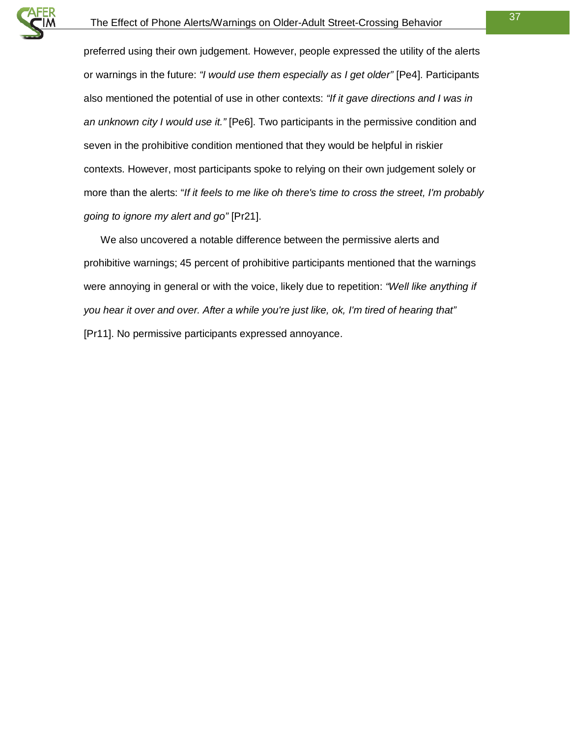

preferred using their own judgement. However, people expressed the utility of the alerts or warnings in the future: *"I would use them especially as I get older"* [Pe4]. Participants also mentioned the potential of use in other contexts: *"If it gave directions and I was in an unknown city I would use it."* [Pe6]. Two participants in the permissive condition and seven in the prohibitive condition mentioned that they would be helpful in riskier contexts. However, most participants spoke to relying on their own judgement solely or more than the alerts: "*If it feels to me like oh there's time to cross the street, I'm probably going to ignore my alert and go"* [Pr21].

We also uncovered a notable difference between the permissive alerts and prohibitive warnings; 45 percent of prohibitive participants mentioned that the warnings were annoying in general or with the voice, likely due to repetition: *"Well like anything if you hear it over and over. After a while you're just like, ok, I'm tired of hearing that"* [Pr11]. No permissive participants expressed annoyance.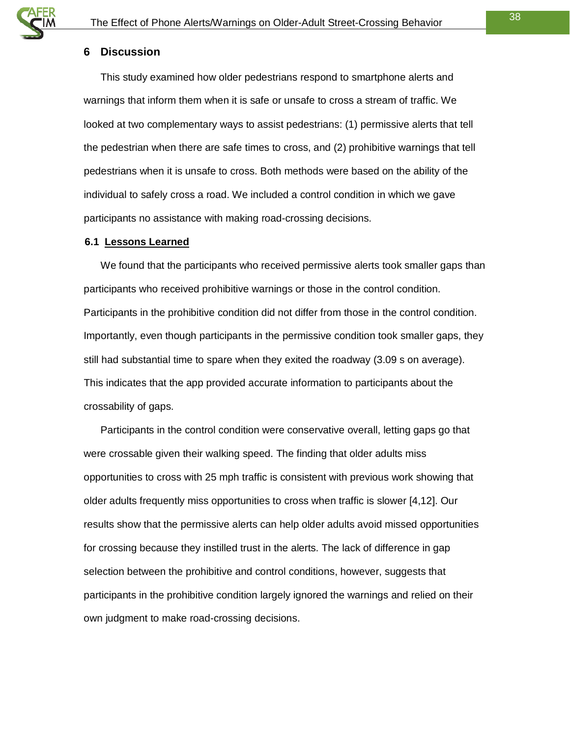#### <span id="page-37-0"></span>**6 Discussion**

This study examined how older pedestrians respond to smartphone alerts and warnings that inform them when it is safe or unsafe to cross a stream of traffic. We looked at two complementary ways to assist pedestrians: (1) permissive alerts that tell the pedestrian when there are safe times to cross, and (2) prohibitive warnings that tell pedestrians when it is unsafe to cross. Both methods were based on the ability of the individual to safely cross a road. We included a control condition in which we gave participants no assistance with making road-crossing decisions.

#### <span id="page-37-1"></span>**6.1 Lessons Learned**

We found that the participants who received permissive alerts took smaller gaps than participants who received prohibitive warnings or those in the control condition. Participants in the prohibitive condition did not differ from those in the control condition. Importantly, even though participants in the permissive condition took smaller gaps, they still had substantial time to spare when they exited the roadway (3.09 s on average). This indicates that the app provided accurate information to participants about the crossability of gaps.

Participants in the control condition were conservative overall, letting gaps go that were crossable given their walking speed. The finding that older adults miss opportunities to cross with 25 mph traffic is consistent with previous work showing that older adults frequently miss opportunities to cross when traffic is slower [4,12]. Our results show that the permissive alerts can help older adults avoid missed opportunities for crossing because they instilled trust in the alerts. The lack of difference in gap selection between the prohibitive and control conditions, however, suggests that participants in the prohibitive condition largely ignored the warnings and relied on their own judgment to make road-crossing decisions.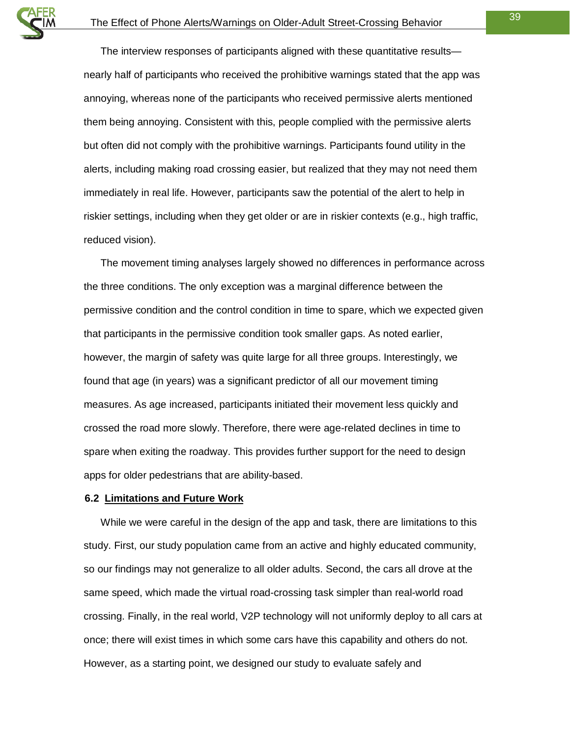The interview responses of participants aligned with these quantitative results nearly half of participants who received the prohibitive warnings stated that the app was annoying, whereas none of the participants who received permissive alerts mentioned them being annoying. Consistent with this, people complied with the permissive alerts but often did not comply with the prohibitive warnings. Participants found utility in the alerts, including making road crossing easier, but realized that they may not need them immediately in real life. However, participants saw the potential of the alert to help in riskier settings, including when they get older or are in riskier contexts (e.g., high traffic, reduced vision).

The movement timing analyses largely showed no differences in performance across the three conditions. The only exception was a marginal difference between the permissive condition and the control condition in time to spare, which we expected given that participants in the permissive condition took smaller gaps. As noted earlier, however, the margin of safety was quite large for all three groups. Interestingly, we found that age (in years) was a significant predictor of all our movement timing measures. As age increased, participants initiated their movement less quickly and crossed the road more slowly. Therefore, there were age-related declines in time to spare when exiting the roadway. This provides further support for the need to design apps for older pedestrians that are ability-based.

#### <span id="page-38-0"></span>**6.2 Limitations and Future Work**

While we were careful in the design of the app and task, there are limitations to this study. First, our study population came from an active and highly educated community, so our findings may not generalize to all older adults. Second, the cars all drove at the same speed, which made the virtual road-crossing task simpler than real-world road crossing. Finally, in the real world, V2P technology will not uniformly deploy to all cars at once; there will exist times in which some cars have this capability and others do not. However, as a starting point, we designed our study to evaluate safely and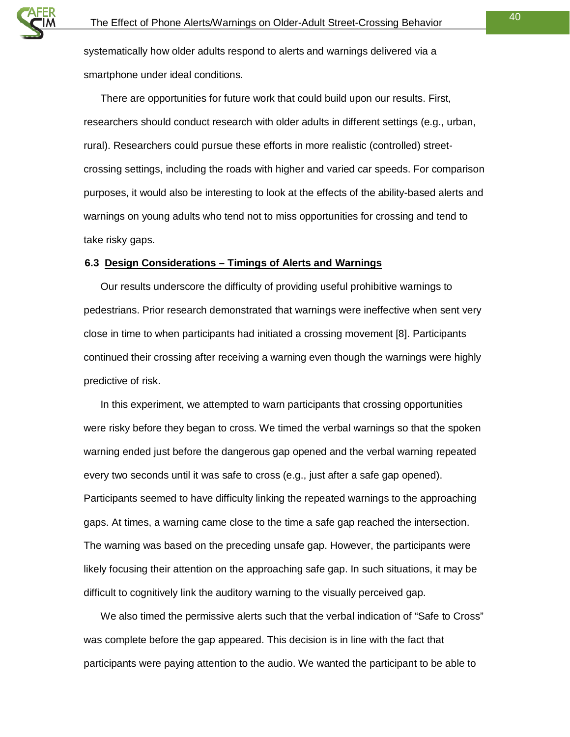systematically how older adults respond to alerts and warnings delivered via a smartphone under ideal conditions.

There are opportunities for future work that could build upon our results. First, researchers should conduct research with older adults in different settings (e.g., urban, rural). Researchers could pursue these efforts in more realistic (controlled) streetcrossing settings, including the roads with higher and varied car speeds. For comparison purposes, it would also be interesting to look at the effects of the ability-based alerts and warnings on young adults who tend not to miss opportunities for crossing and tend to take risky gaps.

#### <span id="page-39-0"></span>**6.3 Design Considerations – Timings of Alerts and Warnings**

Our results underscore the difficulty of providing useful prohibitive warnings to pedestrians. Prior research demonstrated that warnings were ineffective when sent very close in time to when participants had initiated a crossing movement [8]. Participants continued their crossing after receiving a warning even though the warnings were highly predictive of risk.

In this experiment, we attempted to warn participants that crossing opportunities were risky before they began to cross. We timed the verbal warnings so that the spoken warning ended just before the dangerous gap opened and the verbal warning repeated every two seconds until it was safe to cross (e.g., just after a safe gap opened). Participants seemed to have difficulty linking the repeated warnings to the approaching gaps. At times, a warning came close to the time a safe gap reached the intersection. The warning was based on the preceding unsafe gap. However, the participants were likely focusing their attention on the approaching safe gap. In such situations, it may be difficult to cognitively link the auditory warning to the visually perceived gap.

We also timed the permissive alerts such that the verbal indication of "Safe to Cross" was complete before the gap appeared. This decision is in line with the fact that participants were paying attention to the audio. We wanted the participant to be able to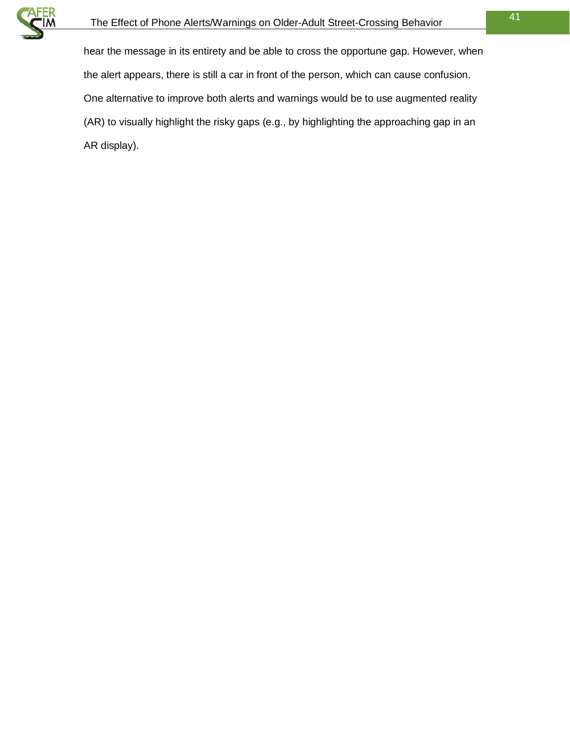

hear the message in its entirety and be able to cross the opportune gap. However, when the alert appears, there is still a car in front of the person, which can cause confusion. One alternative to improve both alerts and warnings would be to use augmented reality (AR) to visually highlight the risky gaps (e.g., by highlighting the approaching gap in an AR display).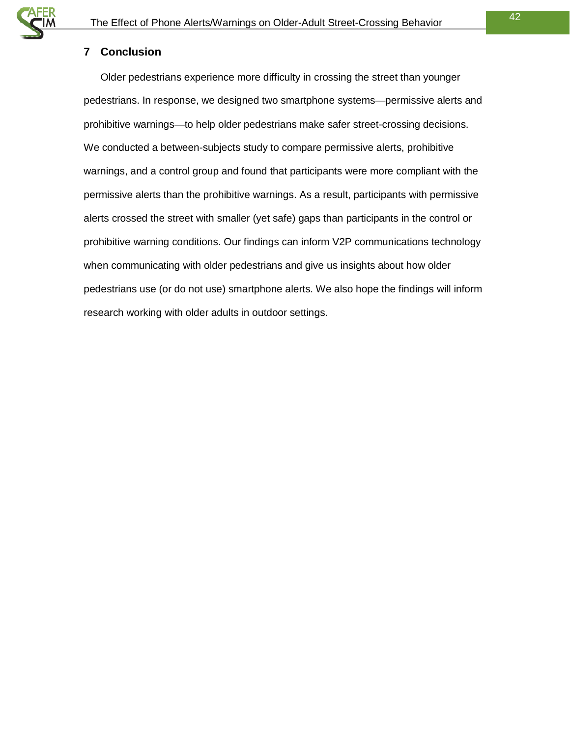#### <span id="page-41-0"></span>**7 Conclusion**

Older pedestrians experience more difficulty in crossing the street than younger pedestrians. In response, we designed two smartphone systems—permissive alerts and prohibitive warnings—to help older pedestrians make safer street-crossing decisions. We conducted a between-subjects study to compare permissive alerts, prohibitive warnings, and a control group and found that participants were more compliant with the permissive alerts than the prohibitive warnings. As a result, participants with permissive alerts crossed the street with smaller (yet safe) gaps than participants in the control or prohibitive warning conditions. Our findings can inform V2P communications technology when communicating with older pedestrians and give us insights about how older pedestrians use (or do not use) smartphone alerts. We also hope the findings will inform research working with older adults in outdoor settings.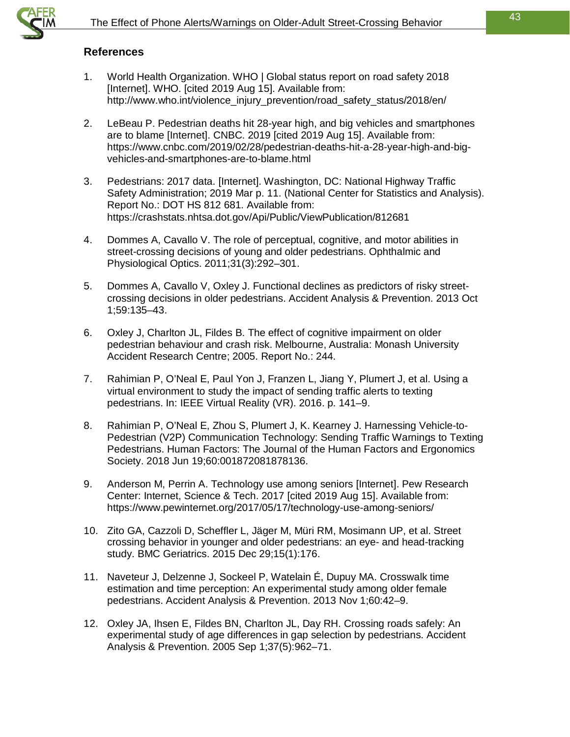

#### <span id="page-42-0"></span>**References**

- 1. World Health Organization. WHO | Global status report on road safety 2018 [Internet]. WHO. [cited 2019 Aug 15]. Available from: http://www.who.int/violence\_injury\_prevention/road\_safety\_status/2018/en/
- 2. LeBeau P. Pedestrian deaths hit 28-year high, and big vehicles and smartphones are to blame [Internet]. CNBC. 2019 [cited 2019 Aug 15]. Available from: https://www.cnbc.com/2019/02/28/pedestrian-deaths-hit-a-28-year-high-and-bigvehicles-and-smartphones-are-to-blame.html
- 3. Pedestrians: 2017 data. [Internet]. Washington, DC: National Highway Traffic Safety Administration; 2019 Mar p. 11. (National Center for Statistics and Analysis). Report No.: DOT HS 812 681. Available from: https://crashstats.nhtsa.dot.gov/Api/Public/ViewPublication/812681
- 4. Dommes A, Cavallo V. The role of perceptual, cognitive, and motor abilities in street-crossing decisions of young and older pedestrians. Ophthalmic and Physiological Optics. 2011;31(3):292–301.
- 5. Dommes A, Cavallo V, Oxley J. Functional declines as predictors of risky streetcrossing decisions in older pedestrians. Accident Analysis & Prevention. 2013 Oct 1;59:135–43.
- 6. Oxley J, Charlton JL, Fildes B. The effect of cognitive impairment on older pedestrian behaviour and crash risk. Melbourne, Australia: Monash University Accident Research Centre; 2005. Report No.: 244.
- 7. Rahimian P, O'Neal E, Paul Yon J, Franzen L, Jiang Y, Plumert J, et al. Using a virtual environment to study the impact of sending traffic alerts to texting pedestrians. In: IEEE Virtual Reality (VR). 2016. p. 141–9.
- 8. Rahimian P, O'Neal E, Zhou S, Plumert J, K. Kearney J. Harnessing Vehicle-to-Pedestrian (V2P) Communication Technology: Sending Traffic Warnings to Texting Pedestrians. Human Factors: The Journal of the Human Factors and Ergonomics Society. 2018 Jun 19;60:001872081878136.
- 9. Anderson M, Perrin A. Technology use among seniors [Internet]. Pew Research Center: Internet, Science & Tech. 2017 [cited 2019 Aug 15]. Available from: https://www.pewinternet.org/2017/05/17/technology-use-among-seniors/
- 10. Zito GA, Cazzoli D, Scheffler L, Jäger M, Müri RM, Mosimann UP, et al. Street crossing behavior in younger and older pedestrians: an eye- and head-tracking study. BMC Geriatrics. 2015 Dec 29;15(1):176.
- 11. Naveteur J, Delzenne J, Sockeel P, Watelain É, Dupuy MA. Crosswalk time estimation and time perception: An experimental study among older female pedestrians. Accident Analysis & Prevention. 2013 Nov 1;60:42–9.
- 12. Oxley JA, Ihsen E, Fildes BN, Charlton JL, Day RH. Crossing roads safely: An experimental study of age differences in gap selection by pedestrians. Accident Analysis & Prevention. 2005 Sep 1;37(5):962–71.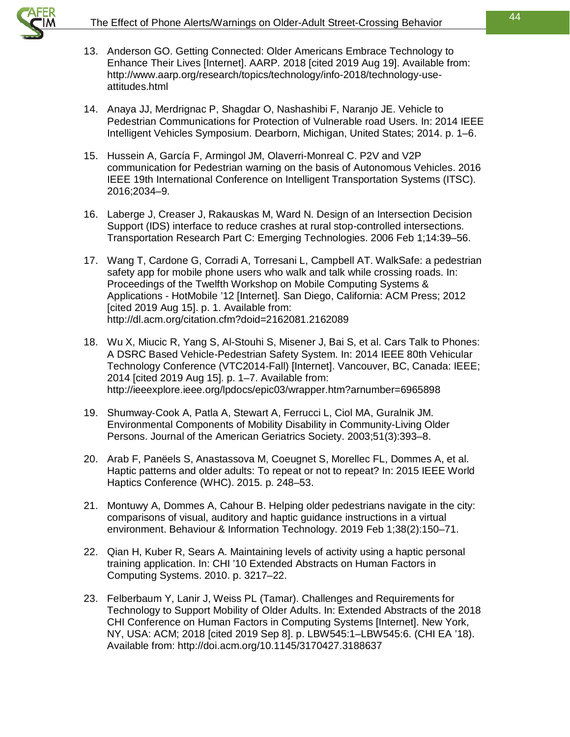

- 13. Anderson GO. Getting Connected: Older Americans Embrace Technology to Enhance Their Lives [Internet]. AARP. 2018 [cited 2019 Aug 19]. Available from: http://www.aarp.org/research/topics/technology/info-2018/technology-useattitudes.html
- 14. Anaya JJ, Merdrignac P, Shagdar O, Nashashibi F, Naranjo JE. Vehicle to Pedestrian Communications for Protection of Vulnerable road Users. In: 2014 IEEE Intelligent Vehicles Symposium. Dearborn, Michigan, United States; 2014. p. 1–6.
- 15. Hussein A, García F, Armingol JM, Olaverri-Monreal C. P2V and V2P communication for Pedestrian warning on the basis of Autonomous Vehicles. 2016 IEEE 19th International Conference on Intelligent Transportation Systems (ITSC). 2016;2034–9.
- 16. Laberge J, Creaser J, Rakauskas M, Ward N. Design of an Intersection Decision Support (IDS) interface to reduce crashes at rural stop-controlled intersections. Transportation Research Part C: Emerging Technologies. 2006 Feb 1;14:39–56.
- 17. Wang T, Cardone G, Corradi A, Torresani L, Campbell AT. WalkSafe: a pedestrian safety app for mobile phone users who walk and talk while crossing roads. In: Proceedings of the Twelfth Workshop on Mobile Computing Systems & Applications - HotMobile '12 [Internet]. San Diego, California: ACM Press; 2012 [cited 2019 Aug 15]. p. 1. Available from: http://dl.acm.org/citation.cfm?doid=2162081.2162089
- 18. Wu X, Miucic R, Yang S, Al-Stouhi S, Misener J, Bai S, et al. Cars Talk to Phones: A DSRC Based Vehicle-Pedestrian Safety System. In: 2014 IEEE 80th Vehicular Technology Conference (VTC2014-Fall) [Internet]. Vancouver, BC, Canada: IEEE; 2014 [cited 2019 Aug 15]. p. 1–7. Available from: http://ieeexplore.ieee.org/lpdocs/epic03/wrapper.htm?arnumber=6965898
- 19. Shumway‐Cook A, Patla A, Stewart A, Ferrucci L, Ciol MA, Guralnik JM. Environmental Components of Mobility Disability in Community-Living Older Persons. Journal of the American Geriatrics Society. 2003;51(3):393–8.
- 20. Arab F, Panëels S, Anastassova M, Coeugnet S, Morellec FL, Dommes A, et al. Haptic patterns and older adults: To repeat or not to repeat? In: 2015 IEEE World Haptics Conference (WHC). 2015. p. 248–53.
- 21. Montuwy A, Dommes A, Cahour B. Helping older pedestrians navigate in the city: comparisons of visual, auditory and haptic guidance instructions in a virtual environment. Behaviour & Information Technology. 2019 Feb 1;38(2):150–71.
- 22. Qian H, Kuber R, Sears A. Maintaining levels of activity using a haptic personal training application. In: CHI '10 Extended Abstracts on Human Factors in Computing Systems. 2010. p. 3217–22.
- 23. Felberbaum Y, Lanir J, Weiss PL (Tamar). Challenges and Requirements for Technology to Support Mobility of Older Adults. In: Extended Abstracts of the 2018 CHI Conference on Human Factors in Computing Systems [Internet]. New York, NY, USA: ACM; 2018 [cited 2019 Sep 8]. p. LBW545:1–LBW545:6. (CHI EA '18). Available from: http://doi.acm.org/10.1145/3170427.3188637